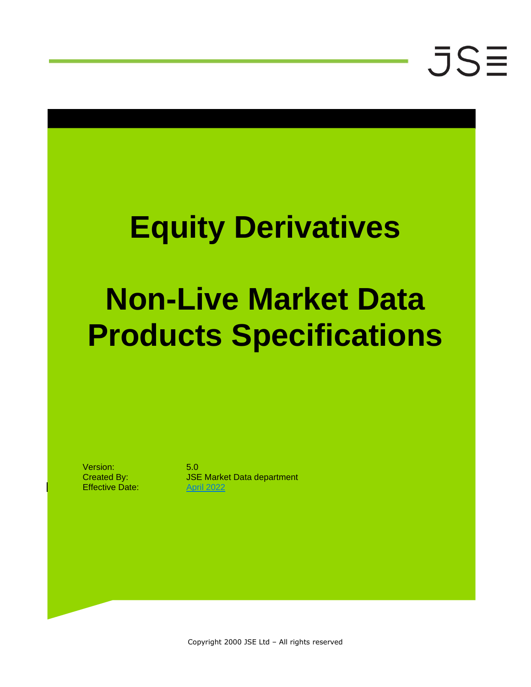### **Equity Derivatives**

### **Non-Live Market Data Products Specifications**

Version: 5.0 Effective Date: April 2022

Created By: JSE Market Data department

Copyright 2000 JSE Ltd – All rights reserved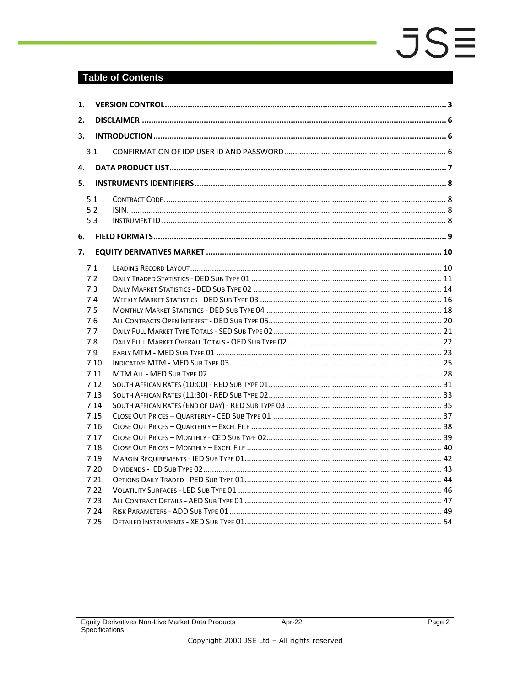#### **Table of Contents**

| 1. |      |  |  |  |  |  |  |  |  |
|----|------|--|--|--|--|--|--|--|--|
| 2. |      |  |  |  |  |  |  |  |  |
| 3. |      |  |  |  |  |  |  |  |  |
|    | 3.1  |  |  |  |  |  |  |  |  |
|    |      |  |  |  |  |  |  |  |  |
| 4. |      |  |  |  |  |  |  |  |  |
| 5. |      |  |  |  |  |  |  |  |  |
|    | 5.1  |  |  |  |  |  |  |  |  |
|    | 5.2  |  |  |  |  |  |  |  |  |
|    | 5.3  |  |  |  |  |  |  |  |  |
| 6. |      |  |  |  |  |  |  |  |  |
| 7. |      |  |  |  |  |  |  |  |  |
|    | 7.1  |  |  |  |  |  |  |  |  |
|    | 7.2  |  |  |  |  |  |  |  |  |
|    | 7.3  |  |  |  |  |  |  |  |  |
|    | 7.4  |  |  |  |  |  |  |  |  |
|    | 7.5  |  |  |  |  |  |  |  |  |
|    | 7.6  |  |  |  |  |  |  |  |  |
|    | 7.7  |  |  |  |  |  |  |  |  |
|    | 7.8  |  |  |  |  |  |  |  |  |
|    | 7.9  |  |  |  |  |  |  |  |  |
|    | 7.10 |  |  |  |  |  |  |  |  |
|    | 7.11 |  |  |  |  |  |  |  |  |
|    | 7.12 |  |  |  |  |  |  |  |  |
|    | 7.13 |  |  |  |  |  |  |  |  |
|    | 7.14 |  |  |  |  |  |  |  |  |
|    | 7.15 |  |  |  |  |  |  |  |  |
|    | 7.16 |  |  |  |  |  |  |  |  |
|    | 7.17 |  |  |  |  |  |  |  |  |
|    | 7.18 |  |  |  |  |  |  |  |  |
|    | 7.19 |  |  |  |  |  |  |  |  |
|    | 7.20 |  |  |  |  |  |  |  |  |
|    | 7.21 |  |  |  |  |  |  |  |  |
|    | 7.22 |  |  |  |  |  |  |  |  |
|    | 7.23 |  |  |  |  |  |  |  |  |
|    | 7.24 |  |  |  |  |  |  |  |  |
|    | 7.25 |  |  |  |  |  |  |  |  |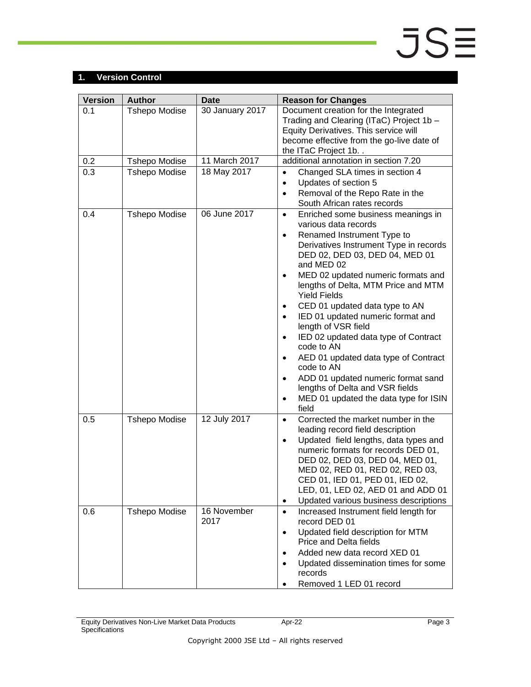### <span id="page-2-0"></span>**1. Version Control**

| <b>Version</b> | <b>Author</b>        | <b>Date</b>         | <b>Reason for Changes</b>                                                                                                                                                                                                                                                                                                                                                                                                                                                                                                                                                                                                                                                                                                |
|----------------|----------------------|---------------------|--------------------------------------------------------------------------------------------------------------------------------------------------------------------------------------------------------------------------------------------------------------------------------------------------------------------------------------------------------------------------------------------------------------------------------------------------------------------------------------------------------------------------------------------------------------------------------------------------------------------------------------------------------------------------------------------------------------------------|
| 0.1            | <b>Tshepo Modise</b> | 30 January 2017     | Document creation for the Integrated<br>Trading and Clearing (ITaC) Project 1b -<br>Equity Derivatives. This service will<br>become effective from the go-live date of<br>the ITaC Project 1b. .                                                                                                                                                                                                                                                                                                                                                                                                                                                                                                                         |
| 0.2            | <b>Tshepo Modise</b> | 11 March 2017       | additional annotation in section 7.20                                                                                                                                                                                                                                                                                                                                                                                                                                                                                                                                                                                                                                                                                    |
| 0.3            | <b>Tshepo Modise</b> | 18 May 2017         | Changed SLA times in section 4<br>$\bullet$<br>Updates of section 5<br>$\bullet$<br>Removal of the Repo Rate in the<br>$\bullet$<br>South African rates records                                                                                                                                                                                                                                                                                                                                                                                                                                                                                                                                                          |
| 0.4            | <b>Tshepo Modise</b> | 06 June 2017        | Enriched some business meanings in<br>$\bullet$<br>various data records<br>Renamed Instrument Type to<br>$\bullet$<br>Derivatives Instrument Type in records<br>DED 02, DED 03, DED 04, MED 01<br>and MED 02<br>MED 02 updated numeric formats and<br>$\bullet$<br>lengths of Delta, MTM Price and MTM<br><b>Yield Fields</b><br>CED 01 updated data type to AN<br>٠<br>IED 01 updated numeric format and<br>$\bullet$<br>length of VSR field<br>IED 02 updated data type of Contract<br>$\bullet$<br>code to AN<br>AED 01 updated data type of Contract<br>$\bullet$<br>code to AN<br>ADD 01 updated numeric format sand<br>٠<br>lengths of Delta and VSR fields<br>MED 01 updated the data type for ISIN<br>٠<br>field |
| 0.5            | <b>Tshepo Modise</b> | 12 July 2017        | Corrected the market number in the<br>$\bullet$<br>leading record field description<br>Updated field lengths, data types and<br>$\bullet$<br>numeric formats for records DED 01,<br>DED 02, DED 03, DED 04, MED 01,<br>MED 02, RED 01, RED 02, RED 03,<br>CED 01, IED 01, PED 01, IED 02,<br>LED, 01, LED 02, AED 01 and ADD 01<br>Updated various business descriptions<br>٠                                                                                                                                                                                                                                                                                                                                            |
| 0.6            | <b>Tshepo Modise</b> | 16 November<br>2017 | Increased Instrument field length for<br>$\bullet$<br>record DED 01<br>Updated field description for MTM<br>$\bullet$<br><b>Price and Delta fields</b><br>Added new data record XED 01<br>$\bullet$<br>Updated dissemination times for some<br>$\bullet$<br>records<br>Removed 1 LED 01 record                                                                                                                                                                                                                                                                                                                                                                                                                           |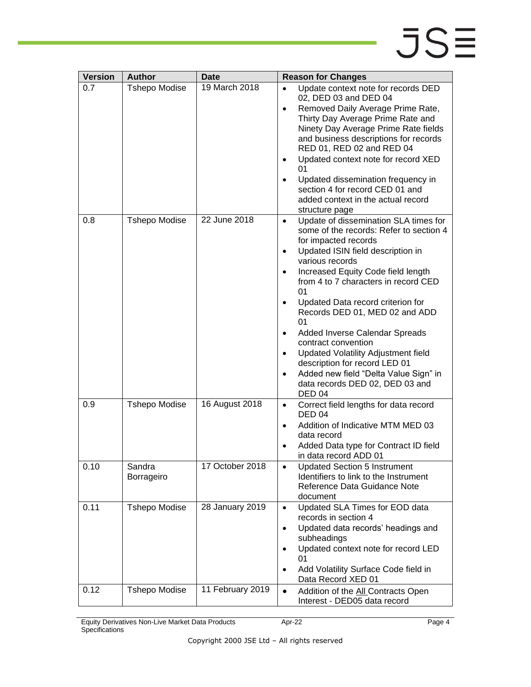| <b>Version</b> | <b>Author</b>        | Date             | <b>Reason for Changes</b>                                                                                                                                                                                                                                                                                                                                                                                                                                                                                                                                                                       |
|----------------|----------------------|------------------|-------------------------------------------------------------------------------------------------------------------------------------------------------------------------------------------------------------------------------------------------------------------------------------------------------------------------------------------------------------------------------------------------------------------------------------------------------------------------------------------------------------------------------------------------------------------------------------------------|
| 0.7            | <b>Tshepo Modise</b> | 19 March 2018    | Update context note for records DED<br>02, DED 03 and DED 04<br>Removed Daily Average Prime Rate,<br>Thirty Day Average Prime Rate and<br>Ninety Day Average Prime Rate fields<br>and business descriptions for records<br>RED 01, RED 02 and RED 04<br>Updated context note for record XED<br>01<br>Updated dissemination frequency in<br>section 4 for record CED 01 and<br>added context in the actual record<br>structure page                                                                                                                                                              |
| 0.8            | <b>Tshepo Modise</b> | 22 June 2018     | Update of dissemination SLA times for<br>$\bullet$<br>some of the records: Refer to section 4<br>for impacted records<br>Updated ISIN field description in<br>٠<br>various records<br>Increased Equity Code field length<br>٠<br>from 4 to 7 characters in record CED<br>01<br>Updated Data record criterion for<br>Records DED 01, MED 02 and ADD<br>01<br>Added Inverse Calendar Spreads<br>٠<br>contract convention<br>Updated Volatility Adjustment field<br>description for record LED 01<br>Added new field "Delta Value Sign" in<br>data records DED 02, DED 03 and<br>DED <sub>04</sub> |
| 0.9            | <b>Tshepo Modise</b> | 16 August 2018   | Correct field lengths for data record<br>$\bullet$<br><b>DED 04</b><br>Addition of Indicative MTM MED 03<br>٠<br>data record<br>Added Data type for Contract ID field<br>in data record ADD 01                                                                                                                                                                                                                                                                                                                                                                                                  |
| 0.10           | Sandra<br>Borrageiro | 17 October 2018  | <b>Updated Section 5 Instrument</b><br>Identifiers to link to the Instrument<br>Reference Data Guidance Note<br>document                                                                                                                                                                                                                                                                                                                                                                                                                                                                        |
| 0.11           | <b>Tshepo Modise</b> | 28 January 2019  | Updated SLA Times for EOD data<br>$\bullet$<br>records in section 4<br>Updated data records' headings and<br>$\bullet$<br>subheadings<br>Updated context note for record LED<br>٠<br>01<br>Add Volatility Surface Code field in<br>$\bullet$<br>Data Record XED 01                                                                                                                                                                                                                                                                                                                              |
| 0.12           | <b>Tshepo Modise</b> | 11 February 2019 | Addition of the All Contracts Open<br>$\bullet$<br>Interest - DED05 data record                                                                                                                                                                                                                                                                                                                                                                                                                                                                                                                 |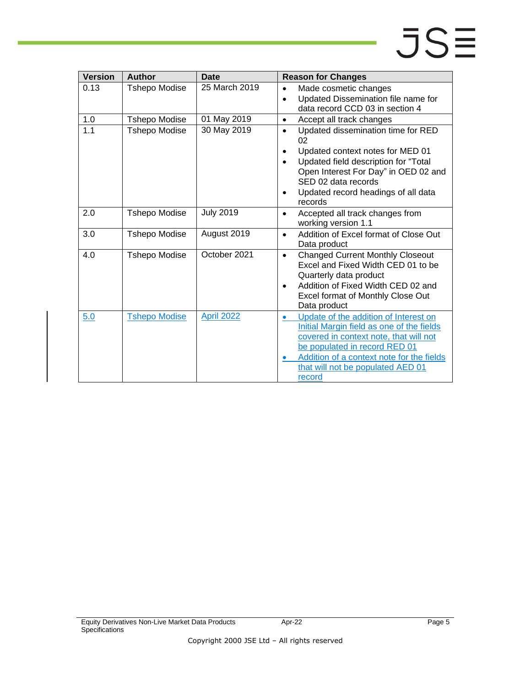| <b>Version</b> | <b>Author</b>        | <b>Date</b>       | <b>Reason for Changes</b>                                                                                                                                                                                                                                              |
|----------------|----------------------|-------------------|------------------------------------------------------------------------------------------------------------------------------------------------------------------------------------------------------------------------------------------------------------------------|
| 0.13           | <b>Tshepo Modise</b> | 25 March 2019     | Made cosmetic changes<br>$\bullet$<br>Updated Dissemination file name for<br>$\bullet$<br>data record CCD 03 in section 4                                                                                                                                              |
| 1.0            | <b>Tshepo Modise</b> | 01 May 2019       | Accept all track changes<br>$\bullet$                                                                                                                                                                                                                                  |
| 1.1            | <b>Tshepo Modise</b> | 30 May 2019       | Updated dissemination time for RED<br>$\bullet$<br>02<br>Updated context notes for MED 01<br>$\bullet$<br>Updated field description for "Total<br>Open Interest For Day" in OED 02 and<br>SED 02 data records<br>Updated record headings of all data<br>records        |
| 2.0            | <b>Tshepo Modise</b> | <b>July 2019</b>  | Accepted all track changes from<br>$\bullet$<br>working version 1.1                                                                                                                                                                                                    |
| 3.0            | <b>Tshepo Modise</b> | August 2019       | Addition of Excel format of Close Out<br>$\bullet$<br>Data product                                                                                                                                                                                                     |
| 4.0            | <b>Tshepo Modise</b> | October 2021      | <b>Changed Current Monthly Closeout</b><br>$\bullet$<br>Excel and Fixed Width CED 01 to be<br>Quarterly data product<br>Addition of Fixed Width CED 02 and<br>$\bullet$<br>Excel format of Monthly Close Out<br>Data product                                           |
| 5.0            | <b>Tshepo Modise</b> | <b>April 2022</b> | Update of the addition of Interest on<br>$\bullet$<br>Initial Margin field as one of the fields<br>covered in context note, that will not<br>be populated in record RED 01<br>Addition of a context note for the fields<br>that will not be populated AED 01<br>record |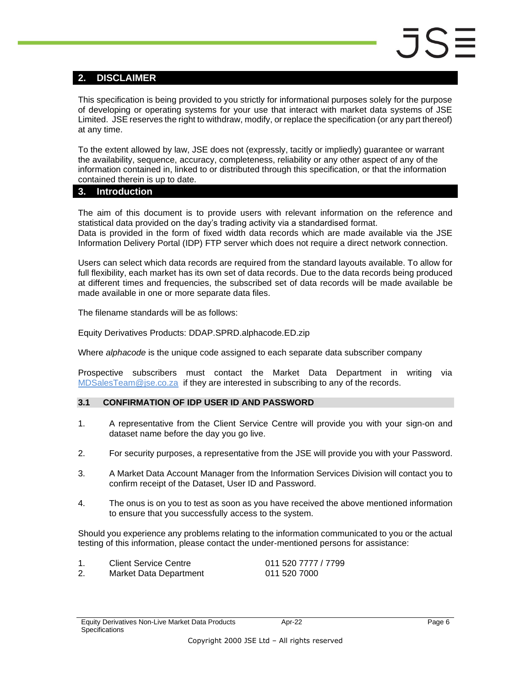#### <span id="page-5-0"></span>**2. DISCLAIMER**

This specification is being provided to you strictly for informational purposes solely for the purpose of developing or operating systems for your use that interact with market data systems of JSE Limited. JSE reserves the right to withdraw, modify, or replace the specification (or any part thereof) at any time.

To the extent allowed by law, JSE does not (expressly, tacitly or impliedly) guarantee or warrant the availability, sequence, accuracy, completeness, reliability or any other aspect of any of the information contained in, linked to or distributed through this specification, or that the information contained therein is up to date.

#### <span id="page-5-1"></span>**3. Introduction**

The aim of this document is to provide users with relevant information on the reference and statistical data provided on the day's trading activity via a standardised format. Data is provided in the form of fixed width data records which are made available via the JSE Information Delivery Portal (IDP) FTP server which does not require a direct network connection.

Users can select which data records are required from the standard layouts available. To allow for full flexibility, each market has its own set of data records. Due to the data records being produced at different times and frequencies, the subscribed set of data records will be made available be made available in one or more separate data files.

The filename standards will be as follows:

Equity Derivatives Products: DDAP.SPRD.alphacode.ED.zip

Where *alphacode* is the unique code assigned to each separate data subscriber company

Prospective subscribers must contact the Market Data Department in writing via [MDSalesTeam@jse.co.za](mailto:MDSalesTeam@jse.co.za) if they are interested in subscribing to any of the records.

#### <span id="page-5-2"></span>**3.1 CONFIRMATION OF IDP USER ID AND PASSWORD**

- 1. A representative from the Client Service Centre will provide you with your sign-on and dataset name before the day you go live.
- 2. For security purposes, a representative from the JSE will provide you with your Password.
- 3. A Market Data Account Manager from the Information Services Division will contact you to confirm receipt of the Dataset, User ID and Password.
- 4. The onus is on you to test as soon as you have received the above mentioned information to ensure that you successfully access to the system.

Should you experience any problems relating to the information communicated to you or the actual testing of this information, please contact the under-mentioned persons for assistance:

| <b>Client Service Centre</b> | 011 520 7777 / 7799 |
|------------------------------|---------------------|
| Market Data Department       | 011 520 7000        |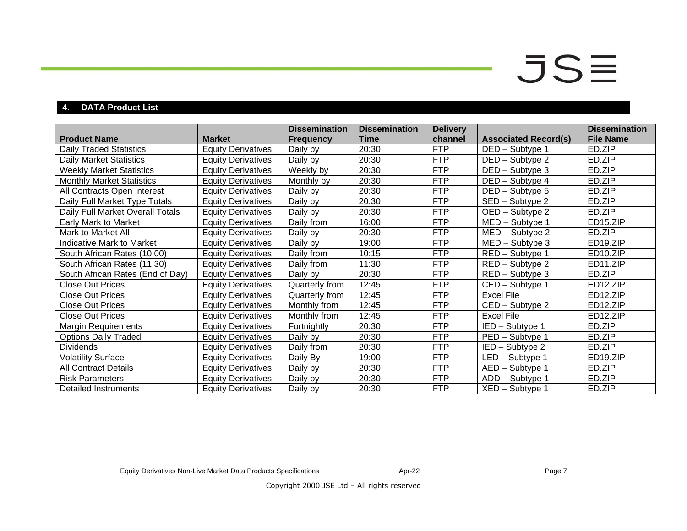## $JS\equiv$

### **4. DATA Product List**

<span id="page-6-0"></span>

|                                  |                           | <b>Dissemination</b> | <b>Dissemination</b> | <b>Delivery</b> |                             | <b>Dissemination</b>  |
|----------------------------------|---------------------------|----------------------|----------------------|-----------------|-----------------------------|-----------------------|
| <b>Product Name</b>              | <b>Market</b>             | <b>Frequency</b>     | Time                 | channel         | <b>Associated Record(s)</b> | <b>File Name</b>      |
| <b>Daily Traded Statistics</b>   | <b>Equity Derivatives</b> | Daily by             | 20:30                | <b>FTP</b>      | DED - Subtype 1             | ED.ZIP                |
| <b>Daily Market Statistics</b>   | <b>Equity Derivatives</b> | Daily by             | 20:30                | <b>FTP</b>      | DED - Subtype 2             | ED.ZIP                |
| <b>Weekly Market Statistics</b>  | <b>Equity Derivatives</b> | Weekly by            | 20:30                | <b>FTP</b>      | DED - Subtype 3             | ED.ZIP                |
| <b>Monthly Market Statistics</b> | <b>Equity Derivatives</b> | Monthly by           | 20:30                | <b>FTP</b>      | DED - Subtype 4             | ED.ZIP                |
| All Contracts Open Interest      | <b>Equity Derivatives</b> | Daily by             | 20:30                | <b>FTP</b>      | DED - Subtype 5             | ED.ZIP                |
| Daily Full Market Type Totals    | <b>Equity Derivatives</b> | Daily by             | 20:30                | <b>FTP</b>      | SED - Subtype 2             | ED.ZIP                |
| Daily Full Market Overall Totals | <b>Equity Derivatives</b> | Daily by             | 20:30                | <b>FTP</b>      | OED - Subtype 2             | ED.ZIP                |
| Early Mark to Market             | <b>Equity Derivatives</b> | Daily from           | 16:00                | <b>FTP</b>      | MED - Subtype 1             | ED15.ZIP              |
| Mark to Market All               | <b>Equity Derivatives</b> | Daily by             | 20:30                | <b>FTP</b>      | MED - Subtype 2             | ED.ZIP                |
| Indicative Mark to Market        | <b>Equity Derivatives</b> | Daily by             | 19:00                | <b>FTP</b>      | $MED - Subtype 3$           | ED19.ZIP              |
| South African Rates (10:00)      | <b>Equity Derivatives</b> | Daily from           | 10:15                | <b>FTP</b>      | RED - Subtype 1             | ED10.ZIP              |
| South African Rates (11:30)      | <b>Equity Derivatives</b> | Daily from           | 11:30                | <b>FTP</b>      | RED - Subtype 2             | ED11.ZIP              |
| South African Rates (End of Day) | <b>Equity Derivatives</b> | Daily by             | 20:30                | <b>FTP</b>      | RED - Subtype 3             | ED.ZIP                |
| <b>Close Out Prices</b>          | <b>Equity Derivatives</b> | Quarterly from       | 12:45                | <b>FTP</b>      | CED - Subtype 1             | ED12.ZIP              |
| <b>Close Out Prices</b>          | <b>Equity Derivatives</b> | Quarterly from       | 12:45                | <b>FTP</b>      | <b>Excel File</b>           | ED12.ZIP              |
| <b>Close Out Prices</b>          | <b>Equity Derivatives</b> | Monthly from         | 12:45                | <b>FTP</b>      | CED - Subtype 2             | ED12.ZIP              |
| <b>Close Out Prices</b>          | <b>Equity Derivatives</b> | Monthly from         | 12:45                | <b>FTP</b>      | <b>Excel File</b>           | ED <sub>12</sub> .ZIP |
| <b>Margin Requirements</b>       | <b>Equity Derivatives</b> | Fortnightly          | 20:30                | <b>FTP</b>      | IED - Subtype 1             | ED.ZIP                |
| <b>Options Daily Traded</b>      | <b>Equity Derivatives</b> | Daily by             | 20:30                | <b>FTP</b>      | PED - Subtype 1             | ED.ZIP                |
| <b>Dividends</b>                 | <b>Equity Derivatives</b> | Daily from           | 20:30                | <b>FTP</b>      | IED - Subtype 2             | ED.ZIP                |
| <b>Volatility Surface</b>        | <b>Equity Derivatives</b> | Daily By             | 19:00                | <b>FTP</b>      | LED - Subtype 1             | ED <sub>19</sub> .ZIP |
| <b>All Contract Details</b>      | <b>Equity Derivatives</b> | Daily by             | 20:30                | <b>FTP</b>      | AED - Subtype 1             | ED.ZIP                |
| <b>Risk Parameters</b>           | <b>Equity Derivatives</b> | Daily by             | 20:30                | <b>FTP</b>      | ADD - Subtype 1             | ED.ZIP                |
| Detailed Instruments             | <b>Equity Derivatives</b> | Daily by             | 20:30                | <b>FTP</b>      | XED - Subtype 1             | ED.ZIP                |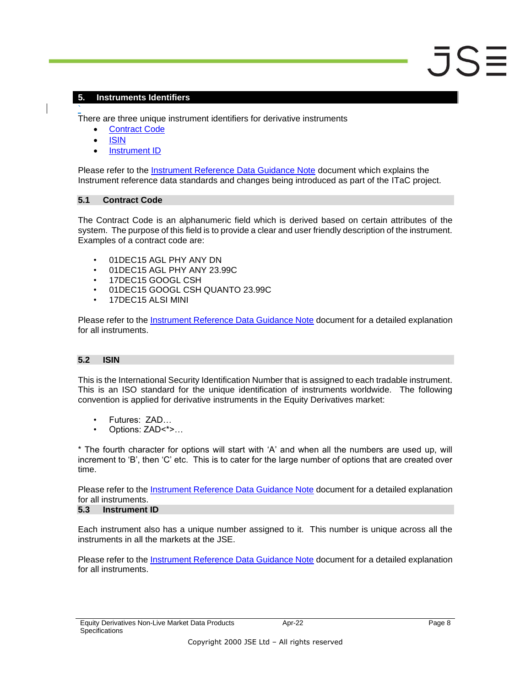#### <span id="page-7-0"></span>**5. Instruments Identifiers**

` There are three unique instrument identifiers for derivative instruments

- [Contract Code](#page-7-1)
- [ISIN](#page-7-2)
- [Instrument ID](#page-7-3)

Please refer to the [Instrument Reference Data Guidance Note](https://www.jse.co.za/content/Guidance%20Notes/ITaC%20Instrument%20Reference%20Data%20Quick%20Reference%20Guide.pdf) document which explains the Instrument reference data standards and changes being introduced as part of the ITaC project.

#### <span id="page-7-1"></span>**5.1 Contract Code**

The Contract Code is an alphanumeric field which is derived based on certain attributes of the system. The purpose of this field is to provide a clear and user friendly description of the instrument. Examples of a contract code are:

- 01DEC15 AGL PHY ANY DN
- 01DEC15 AGL PHY ANY 23.99C
- 17DEC15 GOOGL CSH
- 01DEC15 GOOGL CSH QUANTO 23.99C
- 17DEC15 ALSI MINI

Please refer to the [Instrument Reference Data Guidance Note](https://www.jse.co.za/content/Guidance%20Notes/ITaC%20Instrument%20Reference%20Data%20Quick%20Reference%20Guide.pdf) document for a detailed explanation for all instruments.

#### <span id="page-7-2"></span>**5.2 ISIN**

This is the International Security Identification Number that is assigned to each tradable instrument. This is an ISO standard for the unique identification of instruments worldwide. The following convention is applied for derivative instruments in the Equity Derivatives market:

- Futures: ZAD…
- Options: ZAD<\*>…

\* The fourth character for options will start with 'A' and when all the numbers are used up, will increment to 'B', then 'C' etc. This is to cater for the large number of options that are created over time.

Please refer to the [Instrument Reference Data Guidance Note](https://www.jse.co.za/content/Guidance%20Notes/ITaC%20Instrument%20Reference%20Data%20Quick%20Reference%20Guide.pdf) document for a detailed explanation for all instruments.

#### <span id="page-7-3"></span>**5.3 Instrument ID**

Each instrument also has a unique number assigned to it. This number is unique across all the instruments in all the markets at the JSE.

Please refer to the **Instrument Reference Data Guidance Note** document for a detailed explanation for all instruments.

 $JS$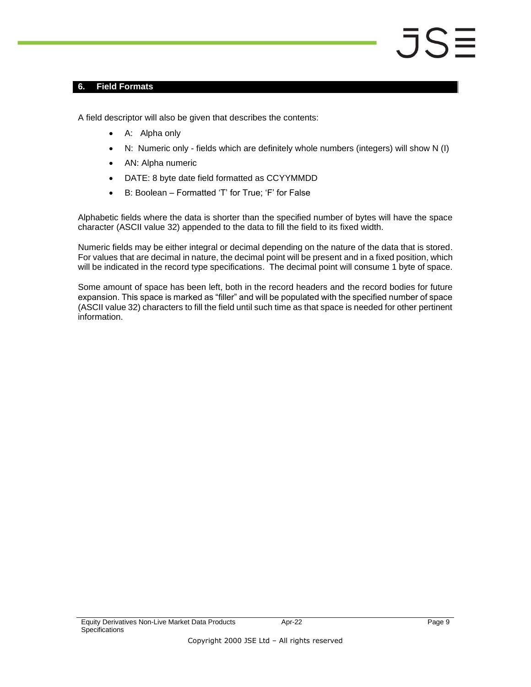#### <span id="page-8-0"></span>**6. Field Formats**

A field descriptor will also be given that describes the contents:

- A: Alpha only
- N: Numeric only fields which are definitely whole numbers (integers) will show N (I)
- AN: Alpha numeric
- DATE: 8 byte date field formatted as CCYYMMDD
- B: Boolean Formatted 'T' for True; 'F' for False

Alphabetic fields where the data is shorter than the specified number of bytes will have the space character (ASCII value 32) appended to the data to fill the field to its fixed width.

Numeric fields may be either integral or decimal depending on the nature of the data that is stored. For values that are decimal in nature, the decimal point will be present and in a fixed position, which will be indicated in the record type specifications. The decimal point will consume 1 byte of space.

Some amount of space has been left, both in the record headers and the record bodies for future expansion. This space is marked as "filler" and will be populated with the specified number of space (ASCII value 32) characters to fill the field until such time as that space is needed for other pertinent information.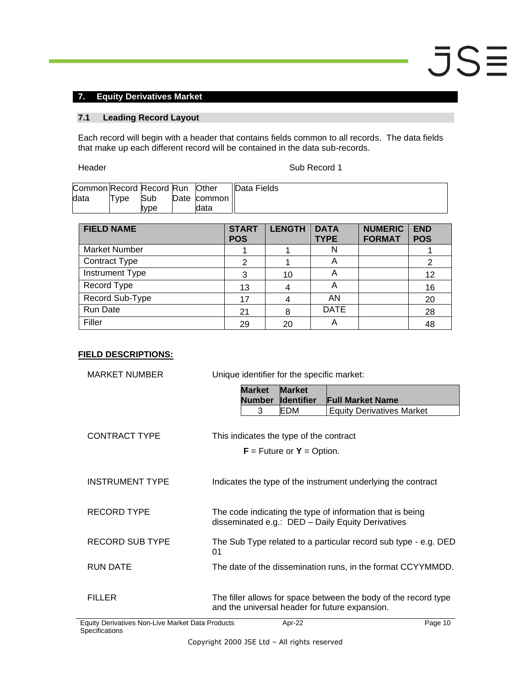#### <span id="page-9-0"></span>**7. Equity Derivatives Market**

#### <span id="page-9-1"></span>**7.1 Leading Record Layout**

Each record will begin with a header that contains fields common to all records. The data fields that make up each different record will be contained in the data sub-records.

Header **Sub Record 1** 

| Common Record Record Run Other |      |      |             | Data Fields |
|--------------------------------|------|------|-------------|-------------|
| data                           | Tvpe | Sub  | Date common |             |
|                                |      | tvpe | data        |             |

| <b>FIELD NAME</b>    | <b>START</b><br><b>POS</b> | <b>LENGTH</b> | <b>DATA</b><br><b>TYPE</b> | <b>NUMERIC</b><br><b>FORMAT</b> | <b>END</b><br><b>POS</b> |
|----------------------|----------------------------|---------------|----------------------------|---------------------------------|--------------------------|
| <b>Market Number</b> |                            |               | N                          |                                 |                          |
| <b>Contract Type</b> |                            |               | A                          |                                 | 2                        |
| Instrument Type      | 3                          | 10            | Α                          |                                 | 12                       |
| Record Type          | 13                         |               | A                          |                                 | 16                       |
| Record Sub-Type      | 17                         |               | AN                         |                                 | 20                       |
| Run Date             | 21                         | 8             | <b>DATE</b>                |                                 | 28                       |
| Filler               | 29                         | 20            |                            |                                 | 48                       |

| <b>MARKET NUMBER</b>                            | Unique identifier for the specific market:     |                                     |                                                                                                                |  |  |  |
|-------------------------------------------------|------------------------------------------------|-------------------------------------|----------------------------------------------------------------------------------------------------------------|--|--|--|
|                                                 | <b>Market</b><br><b>Number</b>                 | <b>Market</b><br><b>I</b> dentifier | <b>Full Market Name</b>                                                                                        |  |  |  |
|                                                 | 3                                              | EDM                                 | <b>Equity Derivatives Market</b>                                                                               |  |  |  |
| <b>CONTRACT TYPE</b>                            | This indicates the type of the contract        | $F =$ Future or $Y =$ Option.       |                                                                                                                |  |  |  |
| <b>INSTRUMENT TYPE</b>                          |                                                |                                     | Indicates the type of the instrument underlying the contract                                                   |  |  |  |
| <b>RECORD TYPE</b>                              |                                                |                                     | The code indicating the type of information that is being<br>disseminated e.g.: DED - Daily Equity Derivatives |  |  |  |
| <b>RECORD SUB TYPE</b>                          | 01                                             |                                     | The Sub Type related to a particular record sub type - e.g. DED                                                |  |  |  |
| <b>RUN DATE</b>                                 |                                                |                                     | The date of the dissemination runs, in the format CCYYMMDD.                                                    |  |  |  |
| <b>FILLER</b>                                   | and the universal header for future expansion. |                                     | The filler allows for space between the body of the record type                                                |  |  |  |
| quity Derivatives Non-Live Market Data Products |                                                | Apr-22                              | Page 10                                                                                                        |  |  |  |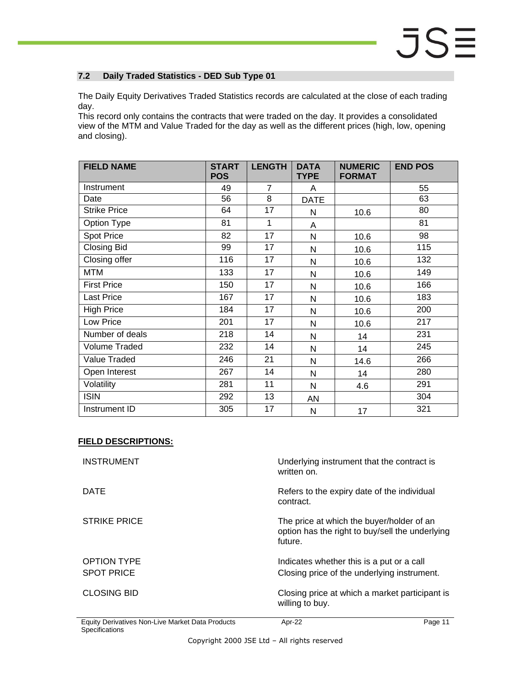#### <span id="page-10-0"></span>**7.2 Daily Traded Statistics - DED Sub Type 01**

The Daily Equity Derivatives Traded Statistics records are calculated at the close of each trading day.

This record only contains the contracts that were traded on the day. It provides a consolidated view of the MTM and Value Traded for the day as well as the different prices (high, low, opening and closing).

| <b>FIELD NAME</b>   | <b>START</b><br><b>POS</b> | <b>LENGTH</b>  | <b>DATA</b><br><b>TYPE</b> | <b>NUMERIC</b><br><b>FORMAT</b> | <b>END POS</b> |
|---------------------|----------------------------|----------------|----------------------------|---------------------------------|----------------|
| Instrument          | 49                         | $\overline{7}$ | A                          |                                 | 55             |
| Date                | 56                         | 8              | <b>DATE</b>                |                                 | 63             |
| <b>Strike Price</b> | 64                         | 17             | N                          | 10.6                            | 80             |
| Option Type         | 81                         | 1              | A                          |                                 | 81             |
| <b>Spot Price</b>   | 82                         | 17             | N                          | 10.6                            | 98             |
| <b>Closing Bid</b>  | 99                         | 17             | N                          | 10.6                            | 115            |
| Closing offer       | 116                        | 17             | N                          | 10.6                            | 132            |
| <b>MTM</b>          | 133                        | 17             | N                          | 10.6                            | 149            |
| <b>First Price</b>  | 150                        | 17             | N                          | 10.6                            | 166            |
| <b>Last Price</b>   | 167                        | 17             | N                          | 10.6                            | 183            |
| <b>High Price</b>   | 184                        | 17             | N                          | 10.6                            | 200            |
| Low Price           | 201                        | 17             | N                          | 10.6                            | 217            |
| Number of deals     | 218                        | 14             | N                          | 14                              | 231            |
| Volume Traded       | 232                        | 14             | N                          | 14                              | 245            |
| <b>Value Traded</b> | 246                        | 21             | N                          | 14.6                            | 266            |
| Open Interest       | 267                        | 14             | N                          | 14                              | 280            |
| Volatility          | 281                        | 11             | N                          | 4.6                             | 291            |
| <b>ISIN</b>         | 292                        | 13             | <b>AN</b>                  |                                 | 304            |
| Instrument ID       | 305                        | 17             | N                          | 17                              | 321            |

| <b>INSTRUMENT</b>                       | Underlying instrument that the contract is<br>written on.                                               |
|-----------------------------------------|---------------------------------------------------------------------------------------------------------|
| <b>DATE</b>                             | Refers to the expiry date of the individual<br>contract.                                                |
| <b>STRIKE PRICE</b>                     | The price at which the buyer/holder of an<br>option has the right to buy/sell the underlying<br>future. |
| <b>OPTION TYPE</b><br><b>SPOT PRICE</b> | Indicates whether this is a put or a call<br>Closing price of the underlying instrument.                |
|                                         |                                                                                                         |
| <b>CLOSING BID</b>                      | Closing price at which a market participant is<br>willing to buy.                                       |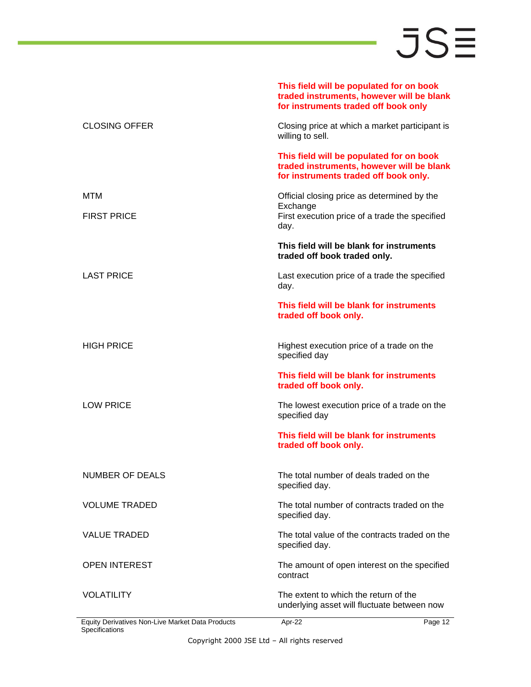**This field will be populated for on book** 

|                                                  | traded instruments, however will be blank<br>for instruments traded off book only                                              |
|--------------------------------------------------|--------------------------------------------------------------------------------------------------------------------------------|
| <b>CLOSING OFFER</b>                             | Closing price at which a market participant is<br>willing to sell.                                                             |
|                                                  | This field will be populated for on book<br>traded instruments, however will be blank<br>for instruments traded off book only. |
| MTM<br><b>FIRST PRICE</b>                        | Official closing price as determined by the<br>Exchange<br>First execution price of a trade the specified<br>day.              |
|                                                  | This field will be blank for instruments<br>traded off book traded only.                                                       |
| <b>LAST PRICE</b>                                | Last execution price of a trade the specified<br>day.                                                                          |
|                                                  | This field will be blank for instruments<br>traded off book only.                                                              |
| <b>HIGH PRICE</b>                                | Highest execution price of a trade on the<br>specified day                                                                     |
|                                                  | This field will be blank for instruments<br>traded off book only.                                                              |
| <b>LOW PRICE</b>                                 | The lowest execution price of a trade on the<br>specified day                                                                  |
|                                                  | This field will be blank for instruments<br>traded off book only.                                                              |
| NUMBER OF DEALS                                  | The total number of deals traded on the<br>specified day.                                                                      |
| <b>VOLUME TRADED</b>                             | The total number of contracts traded on the<br>specified day.                                                                  |
| <b>VALUE TRADED</b>                              | The total value of the contracts traded on the<br>specified day.                                                               |
| <b>OPEN INTEREST</b>                             | The amount of open interest on the specified<br>contract                                                                       |
| <b>VOLATILITY</b>                                | The extent to which the return of the<br>underlying asset will fluctuate between now                                           |
| Equity Derivatives Non-Live Market Data Products | Apr-22<br>Page 12                                                                                                              |

ł,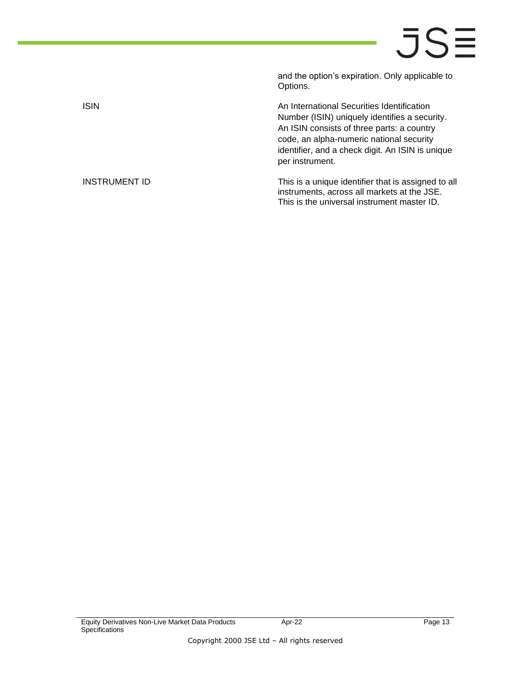and the option's expiration. Only applicable to Options.

ISIN **ISIN An International Securities Identification** Number (ISIN) uniquely identifies a security. An ISIN consists of three parts: a country code, an alpha-numeric national security identifier, and a check digit. An ISIN is unique per instrument.

INSTRUMENT ID This is a unique identifier that is assigned to all instruments, across all markets at the JSE. This is the universal instrument master ID.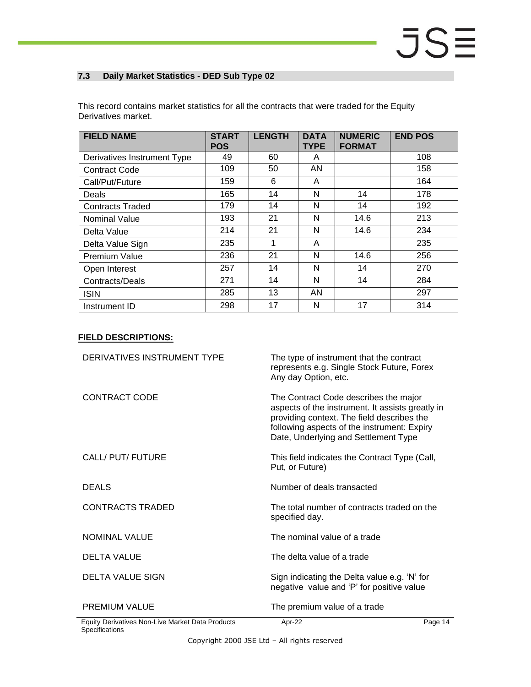#### <span id="page-13-0"></span>**7.3 Daily Market Statistics - DED Sub Type 02**

| <b>FIELD NAME</b>           | <b>START</b><br><b>POS</b> | <b>LENGTH</b> | <b>DATA</b><br><b>TYPE</b> | <b>NUMERIC</b><br><b>FORMAT</b> | <b>END POS</b> |
|-----------------------------|----------------------------|---------------|----------------------------|---------------------------------|----------------|
| Derivatives Instrument Type | 49                         | 60            | A                          |                                 | 108            |
| <b>Contract Code</b>        | 109                        | 50            | AN                         |                                 | 158            |
| Call/Put/Future             | 159                        | 6             | A                          |                                 | 164            |
| <b>Deals</b>                | 165                        | 14            | N                          | 14                              | 178            |
| <b>Contracts Traded</b>     | 179                        | 14            | N                          | 14                              | 192            |
| Nominal Value               | 193                        | 21            | N                          | 14.6                            | 213            |
| Delta Value                 | 214                        | 21            | N                          | 14.6                            | 234            |
| Delta Value Sign            | 235                        | 1             | A                          |                                 | 235            |
| Premium Value               | 236                        | 21            | N                          | 14.6                            | 256            |
| Open Interest               | 257                        | 14            | N                          | 14                              | 270            |
| Contracts/Deals             | 271                        | 14            | N                          | 14                              | 284            |
| <b>ISIN</b>                 | 285                        | 13            | AN                         |                                 | 297            |
| Instrument ID               | 298                        | 17            | N                          | 17                              | 314            |

This record contains market statistics for all the contracts that were traded for the Equity Derivatives market.

| DERIVATIVES INSTRUMENT TYPE                      | The type of instrument that the contract<br>represents e.g. Single Stock Future, Forex<br>Any day Option, etc.                                                                                                                 |         |
|--------------------------------------------------|--------------------------------------------------------------------------------------------------------------------------------------------------------------------------------------------------------------------------------|---------|
| CONTRACT CODE                                    | The Contract Code describes the major<br>aspects of the instrument. It assists greatly in<br>providing context. The field describes the<br>following aspects of the instrument: Expiry<br>Date, Underlying and Settlement Type |         |
| CALL/ PUT/ FUTURE                                | This field indicates the Contract Type (Call,<br>Put, or Future)                                                                                                                                                               |         |
| <b>DEALS</b>                                     | Number of deals transacted                                                                                                                                                                                                     |         |
| <b>CONTRACTS TRADED</b>                          | The total number of contracts traded on the<br>specified day.                                                                                                                                                                  |         |
| <b>NOMINAL VALUE</b>                             | The nominal value of a trade                                                                                                                                                                                                   |         |
| <b>DELTA VALUE</b>                               | The delta value of a trade                                                                                                                                                                                                     |         |
| <b>DELTA VALUE SIGN</b>                          | Sign indicating the Delta value e.g. 'N' for<br>negative value and 'P' for positive value                                                                                                                                      |         |
| <b>PREMIUM VALUE</b>                             | The premium value of a trade                                                                                                                                                                                                   |         |
| Equity Derivatives Non-Live Market Data Products | Apr-22                                                                                                                                                                                                                         | Page 14 |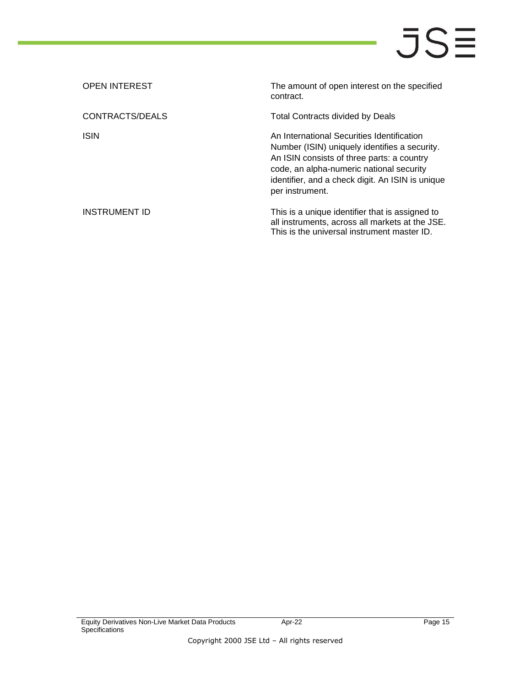| <b>OPEN INTEREST</b> | The amount of open interest on the specified<br>contract.                                                                                                                                                                                                    |
|----------------------|--------------------------------------------------------------------------------------------------------------------------------------------------------------------------------------------------------------------------------------------------------------|
| CONTRACTS/DEALS      | Total Contracts divided by Deals                                                                                                                                                                                                                             |
| <b>ISIN</b>          | An International Securities Identification<br>Number (ISIN) uniquely identifies a security.<br>An ISIN consists of three parts: a country<br>code, an alpha-numeric national security<br>identifier, and a check digit. An ISIN is unique<br>per instrument. |
| INSTRUMENT ID        | This is a unique identifier that is assigned to<br>all instruments, across all markets at the JSE.<br>This is the universal instrument master ID.                                                                                                            |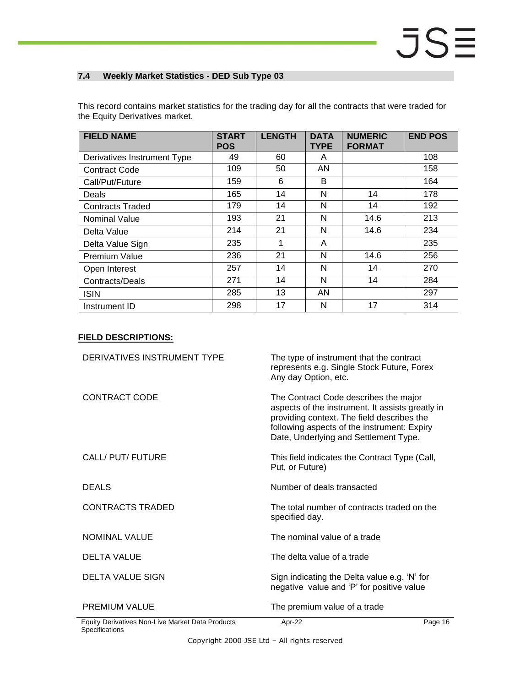#### <span id="page-15-0"></span>**7.4 Weekly Market Statistics - DED Sub Type 03**

This record contains market statistics for the trading day for all the contracts that were traded for the Equity Derivatives market.

| <b>FIELD NAME</b>           | <b>START</b><br><b>POS</b> | <b>LENGTH</b> | <b>DATA</b><br><b>TYPE</b> | <b>NUMERIC</b><br><b>FORMAT</b> | <b>END POS</b> |
|-----------------------------|----------------------------|---------------|----------------------------|---------------------------------|----------------|
| Derivatives Instrument Type | 49                         | 60            | A                          |                                 | 108            |
| <b>Contract Code</b>        | 109                        | 50            | AN                         |                                 | 158            |
| Call/Put/Future             | 159                        | 6             | B                          |                                 | 164            |
| Deals                       | 165                        | 14            | N                          | 14                              | 178            |
| <b>Contracts Traded</b>     | 179                        | 14            | N                          | 14                              | 192            |
| <b>Nominal Value</b>        | 193                        | 21            | N                          | 14.6                            | 213            |
| Delta Value                 | 214                        | 21            | N                          | 14.6                            | 234            |
| Delta Value Sign            | 235                        | 1             | A                          |                                 | 235            |
| Premium Value               | 236                        | 21            | N                          | 14.6                            | 256            |
| Open Interest               | 257                        | 14            | N                          | 14                              | 270            |
| Contracts/Deals             | 271                        | 14            | N                          | 14                              | 284            |
| <b>ISIN</b>                 | 285                        | 13            | AN                         |                                 | 297            |
| Instrument ID               | 298                        | 17            | N                          | 17                              | 314            |

| DERIVATIVES INSTRUMENT TYPE                      | The type of instrument that the contract<br>represents e.g. Single Stock Future, Forex<br>Any day Option, etc.                                                                                                                  |         |
|--------------------------------------------------|---------------------------------------------------------------------------------------------------------------------------------------------------------------------------------------------------------------------------------|---------|
| CONTRACT CODE                                    | The Contract Code describes the major<br>aspects of the instrument. It assists greatly in<br>providing context. The field describes the<br>following aspects of the instrument: Expiry<br>Date, Underlying and Settlement Type. |         |
| CALL/ PUT/ FUTURE                                | This field indicates the Contract Type (Call,<br>Put, or Future)                                                                                                                                                                |         |
| <b>DEALS</b>                                     | Number of deals transacted                                                                                                                                                                                                      |         |
| <b>CONTRACTS TRADED</b>                          | The total number of contracts traded on the<br>specified day.                                                                                                                                                                   |         |
| <b>NOMINAL VALUE</b>                             | The nominal value of a trade                                                                                                                                                                                                    |         |
| <b>DELTA VALUE</b>                               | The delta value of a trade                                                                                                                                                                                                      |         |
| <b>DELTA VALUE SIGN</b>                          | Sign indicating the Delta value e.g. 'N' for<br>negative value and 'P' for positive value                                                                                                                                       |         |
| <b>PREMIUM VALUE</b>                             | The premium value of a trade                                                                                                                                                                                                    |         |
| Equity Derivatives Non-Live Market Data Products | Apr-22                                                                                                                                                                                                                          | Page 16 |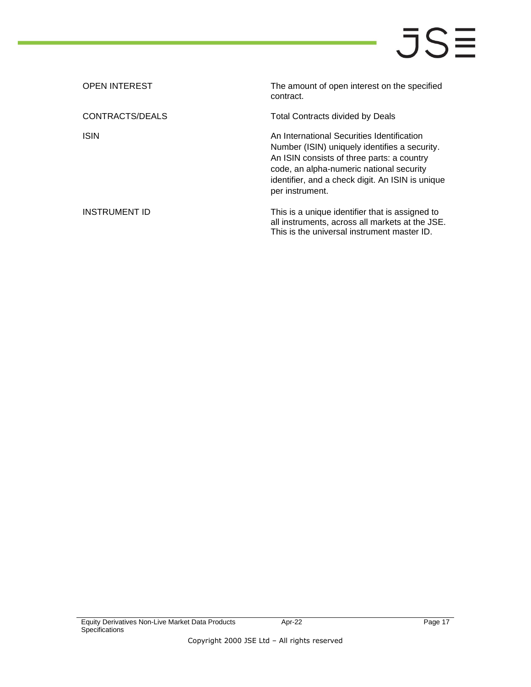| <b>OPEN INTEREST</b> | The amount of open interest on the specified<br>contract.                                                                                                                                                                                                    |
|----------------------|--------------------------------------------------------------------------------------------------------------------------------------------------------------------------------------------------------------------------------------------------------------|
| CONTRACTS/DEALS      | Total Contracts divided by Deals                                                                                                                                                                                                                             |
| <b>ISIN</b>          | An International Securities Identification<br>Number (ISIN) uniquely identifies a security.<br>An ISIN consists of three parts: a country<br>code, an alpha-numeric national security<br>identifier, and a check digit. An ISIN is unique<br>per instrument. |
| INSTRUMENT ID        | This is a unique identifier that is assigned to<br>all instruments, across all markets at the JSE.<br>This is the universal instrument master ID.                                                                                                            |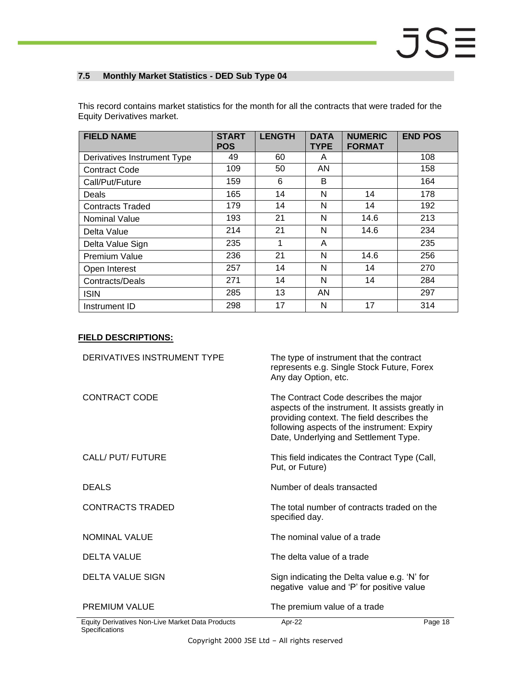### <span id="page-17-0"></span>**7.5 Monthly Market Statistics - DED Sub Type 04**

| <b>Equity Derivatives market.</b>                                                                   |  |  |  |
|-----------------------------------------------------------------------------------------------------|--|--|--|
| This record contains market statistics for the month for all the contracts that were traded for the |  |  |  |
|                                                                                                     |  |  |  |

| <b>FIELD NAME</b>           | <b>START</b><br><b>POS</b> | <b>LENGTH</b> | <b>DATA</b><br><b>TYPE</b> | <b>NUMERIC</b><br><b>FORMAT</b> | <b>END POS</b> |
|-----------------------------|----------------------------|---------------|----------------------------|---------------------------------|----------------|
| Derivatives Instrument Type | 49                         | 60            | A                          |                                 | 108            |
| <b>Contract Code</b>        | 109                        | 50            | AN                         |                                 | 158            |
| Call/Put/Future             | 159                        | 6             | B                          |                                 | 164            |
| Deals                       | 165                        | 14            | N                          | 14                              | 178            |
| <b>Contracts Traded</b>     | 179                        | 14            | N                          | 14                              | 192            |
| Nominal Value               | 193                        | 21            | N                          | 14.6                            | 213            |
| Delta Value                 | 214                        | 21            | N                          | 14.6                            | 234            |
| Delta Value Sign            | 235                        | 1             | A                          |                                 | 235            |
| Premium Value               | 236                        | 21            | N                          | 14.6                            | 256            |
| Open Interest               | 257                        | 14            | N                          | 14                              | 270            |
| Contracts/Deals             | 271                        | 14            | N                          | 14                              | 284            |
| <b>ISIN</b>                 | 285                        | 13            | AN                         |                                 | 297            |
| Instrument ID               | 298                        | 17            | N                          | 17                              | 314            |

| DERIVATIVES INSTRUMENT TYPE                      | The type of instrument that the contract<br>represents e.g. Single Stock Future, Forex<br>Any day Option, etc.                                                                                                                  |         |
|--------------------------------------------------|---------------------------------------------------------------------------------------------------------------------------------------------------------------------------------------------------------------------------------|---------|
| CONTRACT CODE                                    | The Contract Code describes the major<br>aspects of the instrument. It assists greatly in<br>providing context. The field describes the<br>following aspects of the instrument: Expiry<br>Date, Underlying and Settlement Type. |         |
| CALL/ PUT/ FUTURE                                | This field indicates the Contract Type (Call,<br>Put, or Future)                                                                                                                                                                |         |
| <b>DEALS</b>                                     | Number of deals transacted                                                                                                                                                                                                      |         |
| <b>CONTRACTS TRADED</b>                          | The total number of contracts traded on the<br>specified day.                                                                                                                                                                   |         |
| NOMINAL VALUE                                    | The nominal value of a trade                                                                                                                                                                                                    |         |
| DELTA VALUE                                      | The delta value of a trade                                                                                                                                                                                                      |         |
| <b>DELTA VALUE SIGN</b>                          | Sign indicating the Delta value e.g. 'N' for<br>negative value and 'P' for positive value                                                                                                                                       |         |
| <b>PREMIUM VALUE</b>                             | The premium value of a trade                                                                                                                                                                                                    |         |
| Equity Derivatives Non-Live Market Data Products | Apr-22                                                                                                                                                                                                                          | Page 18 |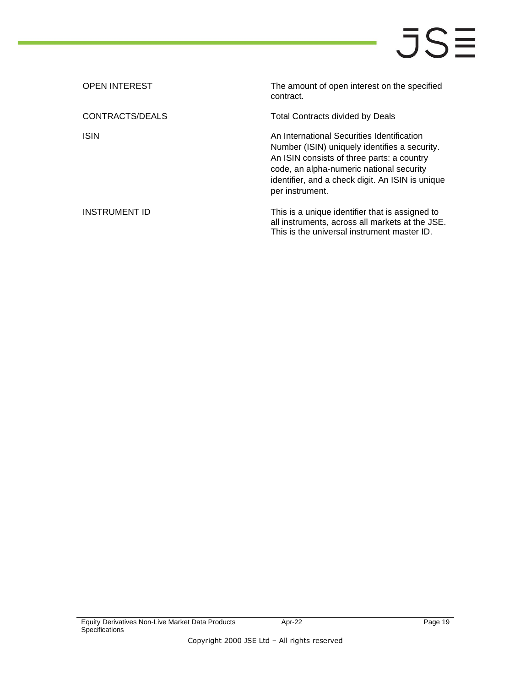| <b>OPEN INTEREST</b> | The amount of open interest on the specified<br>contract.                                                                                                                                                                                                    |
|----------------------|--------------------------------------------------------------------------------------------------------------------------------------------------------------------------------------------------------------------------------------------------------------|
| CONTRACTS/DEALS      | Total Contracts divided by Deals                                                                                                                                                                                                                             |
| <b>ISIN</b>          | An International Securities Identification<br>Number (ISIN) uniquely identifies a security.<br>An ISIN consists of three parts: a country<br>code, an alpha-numeric national security<br>identifier, and a check digit. An ISIN is unique<br>per instrument. |
| INSTRUMENT ID        | This is a unique identifier that is assigned to<br>all instruments, across all markets at the JSE.<br>This is the universal instrument master ID.                                                                                                            |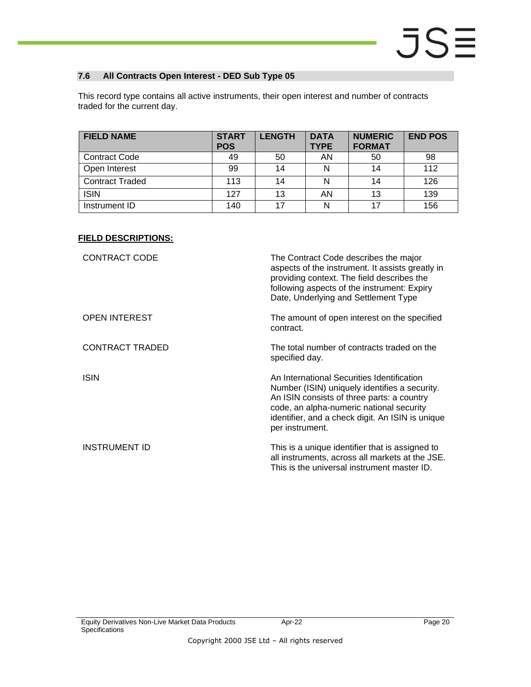#### <span id="page-19-0"></span>**7.6 All Contracts Open Interest - DED Sub Type 05**

This record type contains all active instruments, their open interest and number of contracts traded for the current day.

| <b>FIELD NAME</b>      | <b>START</b><br><b>POS</b> | <b>LENGTH</b> | <b>DATA</b><br><b>TYPE</b> | <b>NUMERIC</b><br><b>FORMAT</b> | <b>END POS</b> |
|------------------------|----------------------------|---------------|----------------------------|---------------------------------|----------------|
| <b>Contract Code</b>   | 49                         | 50            | AN                         | 50                              | 98             |
| Open Interest          | 99                         | 14            |                            | 14                              | 112            |
| <b>Contract Traded</b> | 113                        | 14            |                            | 14                              | 126            |
| <b>ISIN</b>            | 127                        | 13            | AN                         | 13                              | 139            |
| Instrument ID          | 140                        | 17            | N                          | 17                              | 156            |

| <b>CONTRACT CODE</b>   | The Contract Code describes the major<br>aspects of the instrument. It assists greatly in<br>providing context. The field describes the<br>following aspects of the instrument: Expiry<br>Date, Underlying and Settlement Type                               |
|------------------------|--------------------------------------------------------------------------------------------------------------------------------------------------------------------------------------------------------------------------------------------------------------|
| <b>OPEN INTEREST</b>   | The amount of open interest on the specified<br>contract.                                                                                                                                                                                                    |
| <b>CONTRACT TRADED</b> | The total number of contracts traded on the<br>specified day.                                                                                                                                                                                                |
| <b>ISIN</b>            | An International Securities Identification<br>Number (ISIN) uniquely identifies a security.<br>An ISIN consists of three parts: a country<br>code, an alpha-numeric national security<br>identifier, and a check digit. An ISIN is unique<br>per instrument. |
| <b>INSTRUMENT ID</b>   | This is a unique identifier that is assigned to<br>all instruments, across all markets at the JSE.<br>This is the universal instrument master ID.                                                                                                            |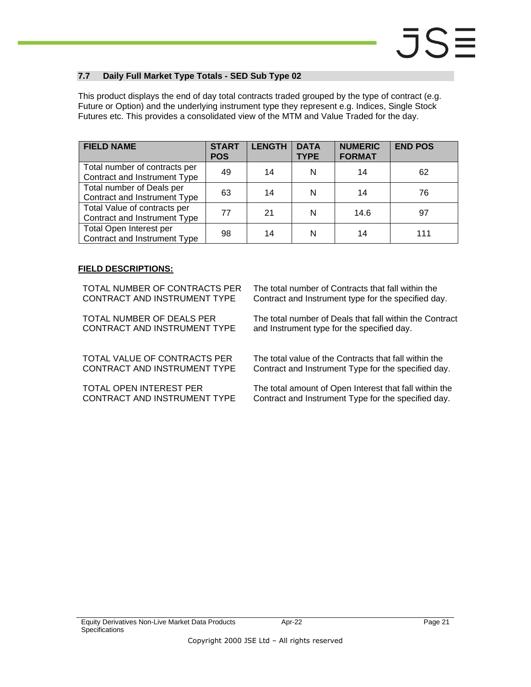#### <span id="page-20-0"></span>**7.7 Daily Full Market Type Totals - SED Sub Type 02**

This product displays the end of day total contracts traded grouped by the type of contract (e.g. Future or Option) and the underlying instrument type they represent e.g. Indices, Single Stock Futures etc. This provides a consolidated view of the MTM and Value Traded for the day.

| <b>FIELD NAME</b>                                             | <b>START</b><br><b>POS</b> | <b>LENGTH</b> | <b>DATA</b><br><b>TYPE</b> | <b>NUMERIC</b><br><b>FORMAT</b> | <b>END POS</b> |
|---------------------------------------------------------------|----------------------------|---------------|----------------------------|---------------------------------|----------------|
| Total number of contracts per<br>Contract and Instrument Type | 49                         | 14            | N                          | 14                              | 62             |
| Total number of Deals per<br>Contract and Instrument Type     | 63                         | 14            | N                          | 14                              | 76             |
| Total Value of contracts per<br>Contract and Instrument Type  | 77                         | 21            | N                          | 14.6                            | 97             |
| Total Open Interest per<br>Contract and Instrument Type       | 98                         | 14            | N                          | 14                              | 111            |

#### **FIELD DESCRIPTIONS:**

TOTAL NUMBER OF CONTRACTS PER CONTRACT AND INSTRUMENT TYPE

TOTAL NUMBER OF DEALS PER CONTRACT AND INSTRUMENT TYPE

TOTAL VALUE OF CONTRACTS PER CONTRACT AND INSTRUMENT TYPE

TOTAL OPEN INTEREST PER CONTRACT AND INSTRUMENT TYPE The total number of Contracts that fall within the Contract and Instrument type for the specified day.

The total number of Deals that fall within the Contract and Instrument type for the specified day.

The total value of the Contracts that fall within the Contract and Instrument Type for the specified day.

The total amount of Open Interest that fall within the Contract and Instrument Type for the specified day.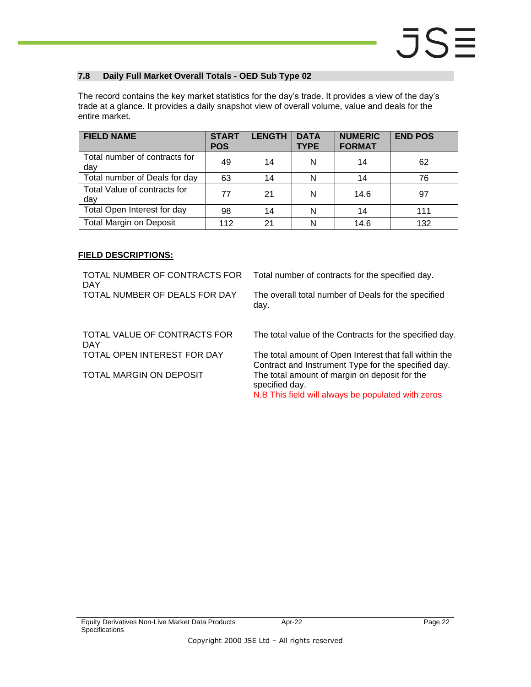#### <span id="page-21-0"></span>**7.8 Daily Full Market Overall Totals - OED Sub Type 02**

The record contains the key market statistics for the day's trade. It provides a view of the day's trade at a glance. It provides a daily snapshot view of overall volume, value and deals for the entire market.

| <b>FIELD NAME</b>                    | <b>START</b><br><b>POS</b> | <b>LENGTH</b> | <b>DATA</b><br><b>TYPE</b> | <b>NUMERIC</b><br><b>FORMAT</b> | <b>END POS</b> |
|--------------------------------------|----------------------------|---------------|----------------------------|---------------------------------|----------------|
| Total number of contracts for<br>dav | 49                         | 14            | N                          | 14                              | 62             |
| Total number of Deals for day        | 63                         | 14            | N                          | 14                              | 76             |
| Total Value of contracts for<br>day  | 77                         | 21            | N                          | 14.6                            | 97             |
| Total Open Interest for day          | 98                         | 14            | N                          | 14                              | 111            |
| <b>Total Margin on Deposit</b>       | 112                        | 21            | N                          | 14.6                            | 132            |

#### **FIELD DESCRIPTIONS:**

TOTAL NUMBER OF CONTRACTS FOR DAY Total number of contracts for the specified day. TOTAL NUMBER OF DEALS FOR DAY The overall total number of Deals for the specified day. TOTAL VALUE OF CONTRACTS FOR DAY The total value of the Contracts for the specified day. TOTAL OPEN INTEREST FOR DAY The total amount of Open Interest that fall within the Contract and Instrument Type for the specified day. TOTAL MARGIN ON DEPOSIT The total amount of margin on deposit for the specified day. N.B This field will always be populated with zeros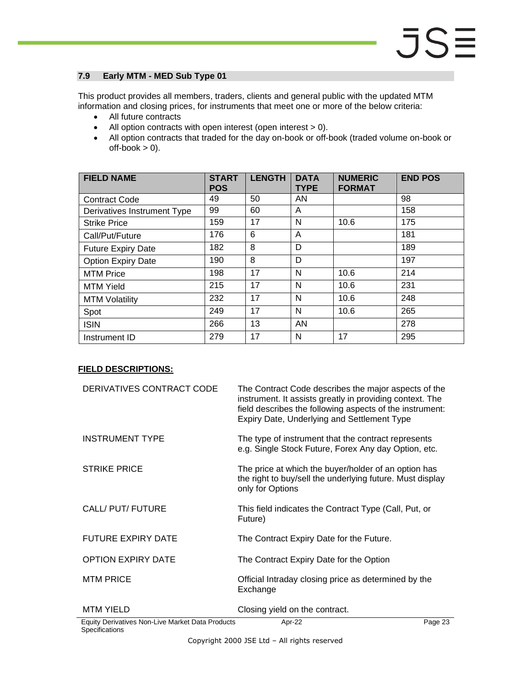#### <span id="page-22-0"></span>**7.9 Early MTM - MED Sub Type 01**

This product provides all members, traders, clients and general public with the updated MTM information and closing prices, for instruments that meet one or more of the below criteria:

- All future contracts
- All option contracts with open interest (open interest > 0).
- All option contracts that traded for the day on-book or off-book (traded volume on-book or  $off-book > 0$ ).

| <b>FIELD NAME</b>           | <b>START</b><br><b>POS</b> | <b>LENGTH</b> | <b>DATA</b><br><b>TYPE</b> | <b>NUMERIC</b><br><b>FORMAT</b> | <b>END POS</b> |
|-----------------------------|----------------------------|---------------|----------------------------|---------------------------------|----------------|
| <b>Contract Code</b>        | 49                         | 50            | AN                         |                                 | 98             |
| Derivatives Instrument Type | 99                         | 60            | A                          |                                 | 158            |
| <b>Strike Price</b>         | 159                        | 17            | N                          | 10.6                            | 175            |
| Call/Put/Future             | 176                        | 6             | A                          |                                 | 181            |
| <b>Future Expiry Date</b>   | 182                        | 8             | D                          |                                 | 189            |
| <b>Option Expiry Date</b>   | 190                        | 8             | D                          |                                 | 197            |
| <b>MTM Price</b>            | 198                        | 17            | N                          | 10.6                            | 214            |
| <b>MTM Yield</b>            | 215                        | 17            | N                          | 10.6                            | 231            |
| <b>MTM Volatility</b>       | 232                        | 17            | N                          | 10.6                            | 248            |
| Spot                        | 249                        | 17            | N                          | 10.6                            | 265            |
| <b>ISIN</b>                 | 266                        | 13            | AN                         |                                 | 278            |
| Instrument ID               | 279                        | 17            | N                          | 17                              | 295            |

### **FIELD DESCRIPTIONS:**

| DERIVATIVES CONTRACT CODE                        | The Contract Code describes the major aspects of the<br>instrument. It assists greatly in providing context. The<br>field describes the following aspects of the instrument:<br>Expiry Date, Underlying and Settlement Type |         |
|--------------------------------------------------|-----------------------------------------------------------------------------------------------------------------------------------------------------------------------------------------------------------------------------|---------|
| <b>INSTRUMENT TYPE</b>                           | The type of instrument that the contract represents<br>e.g. Single Stock Future, Forex Any day Option, etc.                                                                                                                 |         |
| <b>STRIKE PRICE</b>                              | The price at which the buyer/holder of an option has<br>the right to buy/sell the underlying future. Must display<br>only for Options                                                                                       |         |
| CALL/ PUT/ FUTURE                                | This field indicates the Contract Type (Call, Put, or<br>Future)                                                                                                                                                            |         |
| <b>FUTURE EXPIRY DATE</b>                        | The Contract Expiry Date for the Future.                                                                                                                                                                                    |         |
| <b>OPTION EXPIRY DATE</b>                        | The Contract Expiry Date for the Option                                                                                                                                                                                     |         |
| <b>MTM PRICE</b>                                 | Official Intraday closing price as determined by the<br>Exchange                                                                                                                                                            |         |
| <b>MTM YIELD</b>                                 | Closing yield on the contract.                                                                                                                                                                                              |         |
| Equity Derivatives Non-Live Market Data Products | Apr-22                                                                                                                                                                                                                      | Page 23 |

**Specifications**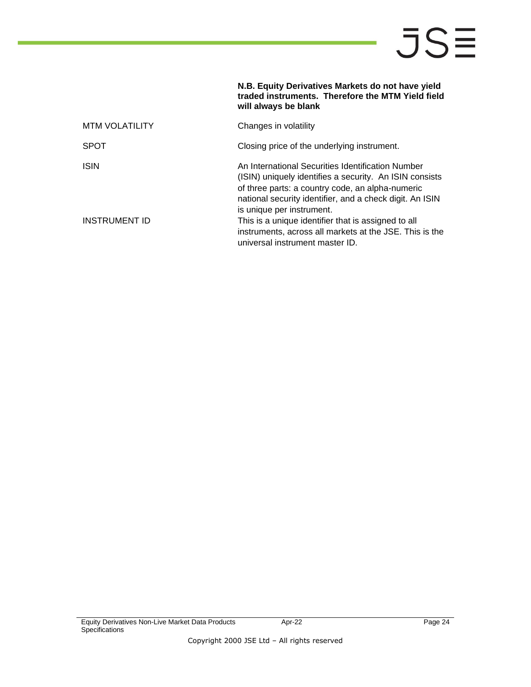|                       | N.B. Equity Derivatives Markets do not have yield<br>traded instruments. Therefore the MTM Yield field<br>will always be blank                                                                                                                            |
|-----------------------|-----------------------------------------------------------------------------------------------------------------------------------------------------------------------------------------------------------------------------------------------------------|
| <b>MTM VOLATILITY</b> | Changes in volatility                                                                                                                                                                                                                                     |
| <b>SPOT</b>           | Closing price of the underlying instrument.                                                                                                                                                                                                               |
| <b>ISIN</b>           | An International Securities Identification Number<br>(ISIN) uniquely identifies a security. An ISIN consists<br>of three parts: a country code, an alpha-numeric<br>national security identifier, and a check digit. An ISIN<br>is unique per instrument. |
| INSTRUMENT ID         | This is a unique identifier that is assigned to all<br>instruments, across all markets at the JSE. This is the<br>universal instrument master ID.                                                                                                         |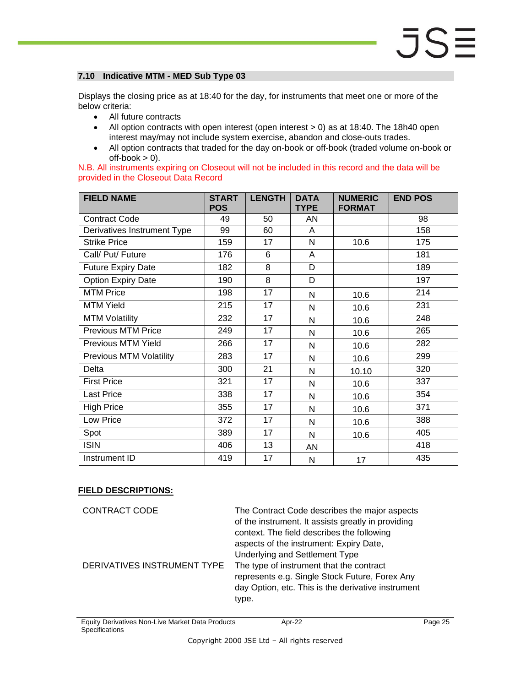#### <span id="page-24-0"></span>**7.10 Indicative MTM - MED Sub Type 03**

Displays the closing price as at 18:40 for the day, for instruments that meet one or more of the below criteria:

- All future contracts
- All option contracts with open interest (open interest > 0) as at 18:40. The 18h40 open interest may/may not include system exercise, abandon and close-outs trades.
- All option contracts that traded for the day on-book or off-book (traded volume on-book or  $off-book > 0$ ).

|  |                                      | N.B. All instruments expiring on Closeout will not be included in this record and the data will be |  |  |  |  |
|--|--------------------------------------|----------------------------------------------------------------------------------------------------|--|--|--|--|
|  | provided in the Closeout Data Record |                                                                                                    |  |  |  |  |

| <b>FIELD NAME</b>              | <b>START</b><br><b>POS</b> | <b>LENGTH</b>   | <b>DATA</b><br><b>TYPE</b> | <b>NUMERIC</b><br><b>FORMAT</b> | <b>END POS</b> |
|--------------------------------|----------------------------|-----------------|----------------------------|---------------------------------|----------------|
| <b>Contract Code</b>           | 49                         | 50              | AN                         |                                 | 98             |
| Derivatives Instrument Type    | 99                         | 60              | A                          |                                 | 158            |
| <b>Strike Price</b>            | 159                        | 17              | N                          | 10.6                            | 175            |
| Call/ Put/ Future              | 176                        | 6               | A                          |                                 | 181            |
| <b>Future Expiry Date</b>      | 182                        | $\overline{8}$  | D                          |                                 | 189            |
| <b>Option Expiry Date</b>      | 190                        | $\overline{8}$  | D                          |                                 | 197            |
| <b>MTM Price</b>               | 198                        | 17              | N                          | 10.6                            | 214            |
| <b>MTM Yield</b>               | 215                        | 17              | N                          | 10.6                            | 231            |
| <b>MTM Volatility</b>          | 232                        | 17              | N                          | 10.6                            | 248            |
| <b>Previous MTM Price</b>      | 249                        | 17              | N                          | 10.6                            | 265            |
| Previous MTM Yield             | 266                        | 17              | N                          | 10.6                            | 282            |
| <b>Previous MTM Volatility</b> | 283                        | 17              | N                          | 10.6                            | 299            |
| Delta                          | 300                        | 21              | N                          | 10.10                           | 320            |
| <b>First Price</b>             | 321                        | 17              | N                          | 10.6                            | 337            |
| Last Price                     | 338                        | 17              | N                          | 10.6                            | 354            |
| <b>High Price</b>              | 355                        | 17              | N                          | 10.6                            | 371            |
| Low Price                      | 372                        | 17              | N                          | 10.6                            | 388            |
| Spot                           | 389                        | 17              | N                          | 10.6                            | 405            |
| <b>ISIN</b>                    | 406                        | 13              | AN                         |                                 | 418            |
| Instrument ID                  | 419                        | $\overline{17}$ | N                          | 17                              | 435            |

| CONTRACT CODE               | The Contract Code describes the major aspects<br>of the instrument. It assists greatly in providing<br>context. The field describes the following<br>aspects of the instrument: Expiry Date,<br>Underlying and Settlement Type |
|-----------------------------|--------------------------------------------------------------------------------------------------------------------------------------------------------------------------------------------------------------------------------|
| DERIVATIVES INSTRUMENT TYPE | The type of instrument that the contract                                                                                                                                                                                       |
|                             | represents e.g. Single Stock Future, Forex Any<br>day Option, etc. This is the derivative instrument<br>type.                                                                                                                  |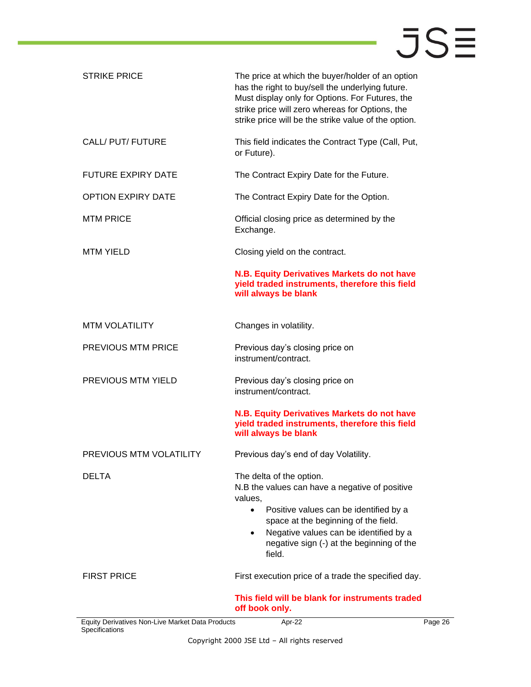| <b>STRIKE PRICE</b>                                                | The price at which the buyer/holder of an option<br>has the right to buy/sell the underlying future.<br>Must display only for Options. For Futures, the<br>strike price will zero whereas for Options, the<br>strike price will be the strike value of the option.                                 |  |
|--------------------------------------------------------------------|----------------------------------------------------------------------------------------------------------------------------------------------------------------------------------------------------------------------------------------------------------------------------------------------------|--|
| CALL/ PUT/ FUTURE                                                  | This field indicates the Contract Type (Call, Put,<br>or Future).                                                                                                                                                                                                                                  |  |
| <b>FUTURE EXPIRY DATE</b>                                          | The Contract Expiry Date for the Future.                                                                                                                                                                                                                                                           |  |
| <b>OPTION EXPIRY DATE</b>                                          | The Contract Expiry Date for the Option.                                                                                                                                                                                                                                                           |  |
| <b>MTM PRICE</b>                                                   | Official closing price as determined by the<br>Exchange.                                                                                                                                                                                                                                           |  |
| <b>MTM YIELD</b>                                                   | Closing yield on the contract.                                                                                                                                                                                                                                                                     |  |
|                                                                    | N.B. Equity Derivatives Markets do not have<br>yield traded instruments, therefore this field<br>will always be blank                                                                                                                                                                              |  |
| <b>MTM VOLATILITY</b>                                              | Changes in volatility.                                                                                                                                                                                                                                                                             |  |
| PREVIOUS MTM PRICE                                                 | Previous day's closing price on<br>instrument/contract.                                                                                                                                                                                                                                            |  |
| PREVIOUS MTM YIELD                                                 | Previous day's closing price on<br>instrument/contract.                                                                                                                                                                                                                                            |  |
|                                                                    | N.B. Equity Derivatives Markets do not have<br>yield traded instruments, therefore this field<br>will always be blank                                                                                                                                                                              |  |
| PREVIOUS MTM VOLATILITY                                            | Previous day's end of day Volatility.                                                                                                                                                                                                                                                              |  |
| DELTA                                                              | The delta of the option.<br>N.B the values can have a negative of positive<br>values.<br>Positive values can be identified by a<br>$\bullet$<br>space at the beginning of the field.<br>Negative values can be identified by a<br>$\bullet$<br>negative sign (-) at the beginning of the<br>field. |  |
| <b>FIRST PRICE</b>                                                 | First execution price of a trade the specified day.                                                                                                                                                                                                                                                |  |
|                                                                    | This field will be blank for instruments traded<br>off book only.                                                                                                                                                                                                                                  |  |
| Equity Derivatives Non-Live Market Data Products<br>Specifications | Apr-22<br>Page 26                                                                                                                                                                                                                                                                                  |  |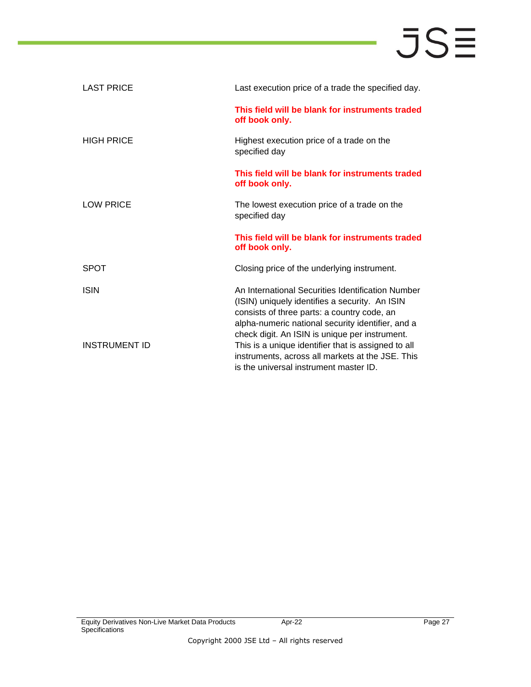| <b>LAST PRICE</b> | Last execution price of a trade the specified day.                                                                                                                                                                                                        |
|-------------------|-----------------------------------------------------------------------------------------------------------------------------------------------------------------------------------------------------------------------------------------------------------|
|                   | This field will be blank for instruments traded<br>off book only.                                                                                                                                                                                         |
| <b>HIGH PRICE</b> | Highest execution price of a trade on the<br>specified day                                                                                                                                                                                                |
|                   | This field will be blank for instruments traded<br>off book only.                                                                                                                                                                                         |
| <b>LOW PRICE</b>  | The lowest execution price of a trade on the<br>specified day                                                                                                                                                                                             |
|                   |                                                                                                                                                                                                                                                           |
|                   | This field will be blank for instruments traded<br>off book only.                                                                                                                                                                                         |
| <b>SPOT</b>       | Closing price of the underlying instrument.                                                                                                                                                                                                               |
| <b>ISIN</b>       | An International Securities Identification Number<br>(ISIN) uniquely identifies a security. An ISIN<br>consists of three parts: a country code, an<br>alpha-numeric national security identifier, and a<br>check digit. An ISIN is unique per instrument. |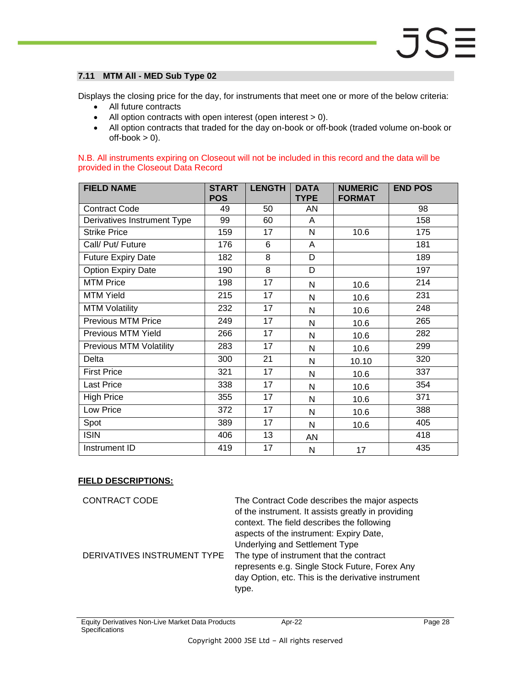#### <span id="page-27-0"></span>**7.11 MTM All - MED Sub Type 02**

Displays the closing price for the day, for instruments that meet one or more of the below criteria:

- All future contracts
- All option contracts with open interest (open interest > 0).
- All option contracts that traded for the day on-book or off-book (traded volume on-book or  $off-book > 0$ ).

N.B. All instruments expiring on Closeout will not be included in this record and the data will be provided in the Closeout Data Record

| <b>FIELD NAME</b>              | <b>START</b><br><b>POS</b> | <b>LENGTH</b>   | <b>DATA</b><br><b>TYPE</b> | <b>NUMERIC</b><br><b>FORMAT</b> | <b>END POS</b> |
|--------------------------------|----------------------------|-----------------|----------------------------|---------------------------------|----------------|
| <b>Contract Code</b>           | 49                         | 50              | AN                         |                                 | 98             |
| Derivatives Instrument Type    | 99                         | 60              | A                          |                                 | 158            |
| <b>Strike Price</b>            | 159                        | 17              | N                          | 10.6                            | 175            |
| Call/ Put/ Future              | 176                        | 6               | A                          |                                 | 181            |
| <b>Future Expiry Date</b>      | 182                        | 8               | D                          |                                 | 189            |
| <b>Option Expiry Date</b>      | 190                        | 8               | D                          |                                 | 197            |
| <b>MTM Price</b>               | 198                        | 17              | N                          | 10.6                            | 214            |
| <b>MTM Yield</b>               | 215                        | 17              | N                          | 10.6                            | 231            |
| <b>MTM Volatility</b>          | 232                        | 17              | N                          | 10.6                            | 248            |
| <b>Previous MTM Price</b>      | 249                        | 17              | N                          | 10.6                            | 265            |
| Previous MTM Yield             | 266                        | 17              | N                          | 10.6                            | 282            |
| <b>Previous MTM Volatility</b> | 283                        | 17              | $\mathsf{N}$               | 10.6                            | 299            |
| Delta                          | 300                        | 21              | N                          | 10.10                           | 320            |
| <b>First Price</b>             | 321                        | 17              | N                          | 10.6                            | 337            |
| Last Price                     | 338                        | 17              | N                          | 10.6                            | 354            |
| <b>High Price</b>              | 355                        | 17              | N                          | 10.6                            | 371            |
| Low Price                      | 372                        | 17              | N                          | 10.6                            | 388            |
| Spot                           | 389                        | $\overline{17}$ | N                          | 10.6                            | 405            |
| <b>ISIN</b>                    | 406                        | 13              | AN                         |                                 | 418            |
| Instrument ID                  | 419                        | 17              | N                          | 17                              | 435            |

### **FIELD DESCRIPTIONS:**

CONTRACT CODE The Contract Code describes the major aspects of the instrument. It assists greatly in providing context. The field describes the following aspects of the instrument: Expiry Date, Underlying and Settlement Type DERIVATIVES INSTRUMENT TYPE The type of instrument that the contract represents e.g. Single Stock Future, Forex Any day Option, etc. This is the derivative instrument type.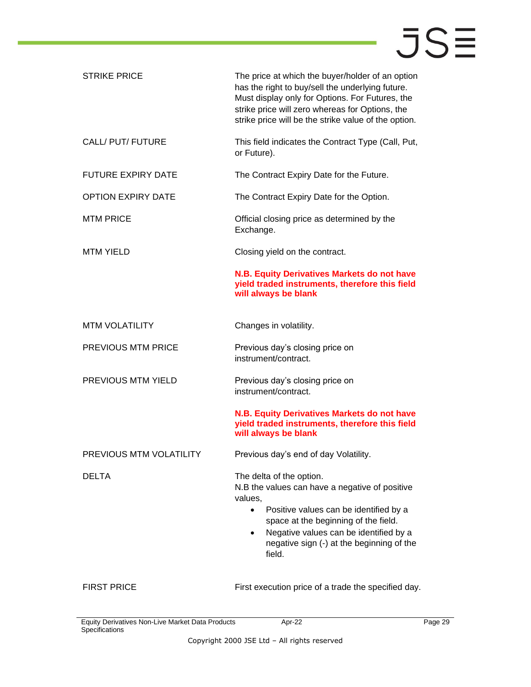| <b>STRIKE PRICE</b>       | The price at which the buyer/holder of an option<br>has the right to buy/sell the underlying future.<br>Must display only for Options. For Futures, the<br>strike price will zero whereas for Options, the<br>strike price will be the strike value of the option.                                 |  |  |  |  |
|---------------------------|----------------------------------------------------------------------------------------------------------------------------------------------------------------------------------------------------------------------------------------------------------------------------------------------------|--|--|--|--|
| CALL/ PUT/ FUTURE         | This field indicates the Contract Type (Call, Put,<br>or Future).                                                                                                                                                                                                                                  |  |  |  |  |
| <b>FUTURE EXPIRY DATE</b> | The Contract Expiry Date for the Future.                                                                                                                                                                                                                                                           |  |  |  |  |
| <b>OPTION EXPIRY DATE</b> | The Contract Expiry Date for the Option.                                                                                                                                                                                                                                                           |  |  |  |  |
| <b>MTM PRICE</b>          | Official closing price as determined by the<br>Exchange.                                                                                                                                                                                                                                           |  |  |  |  |
| <b>MTM YIELD</b>          | Closing yield on the contract.                                                                                                                                                                                                                                                                     |  |  |  |  |
|                           | N.B. Equity Derivatives Markets do not have<br>yield traded instruments, therefore this field<br>will always be blank                                                                                                                                                                              |  |  |  |  |
| <b>MTM VOLATILITY</b>     | Changes in volatility.                                                                                                                                                                                                                                                                             |  |  |  |  |
| <b>PREVIOUS MTM PRICE</b> | Previous day's closing price on<br>instrument/contract.                                                                                                                                                                                                                                            |  |  |  |  |
| PREVIOUS MTM YIELD        | Previous day's closing price on<br>instrument/contract.                                                                                                                                                                                                                                            |  |  |  |  |
|                           | N.B. Equity Derivatives Markets do not have<br>yield traded instruments, therefore this field<br>will always be blank                                                                                                                                                                              |  |  |  |  |
| PREVIOUS MTM VOLATILITY   | Previous day's end of day Volatility.                                                                                                                                                                                                                                                              |  |  |  |  |
| <b>DELTA</b>              | The delta of the option.<br>N.B the values can have a negative of positive<br>values,<br>Positive values can be identified by a<br>$\bullet$<br>space at the beginning of the field.<br>Negative values can be identified by a<br>$\bullet$<br>negative sign (-) at the beginning of the<br>field. |  |  |  |  |
| <b>FIRST PRICE</b>        | First execution price of a trade the specified day.                                                                                                                                                                                                                                                |  |  |  |  |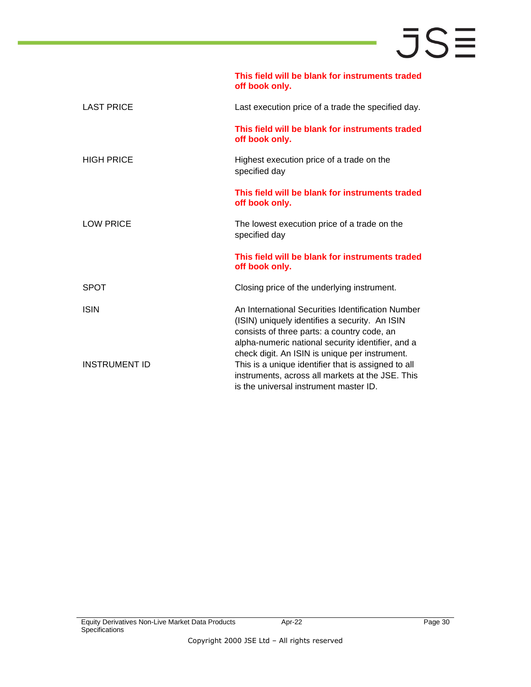|                      | This field will be blank for instruments traded<br>off book only.                                                                                                                                                                                         |
|----------------------|-----------------------------------------------------------------------------------------------------------------------------------------------------------------------------------------------------------------------------------------------------------|
| <b>LAST PRICE</b>    | Last execution price of a trade the specified day.                                                                                                                                                                                                        |
|                      | This field will be blank for instruments traded<br>off book only.                                                                                                                                                                                         |
| <b>HIGH PRICE</b>    | Highest execution price of a trade on the<br>specified day                                                                                                                                                                                                |
|                      | This field will be blank for instruments traded<br>off book only.                                                                                                                                                                                         |
| <b>LOW PRICE</b>     | The lowest execution price of a trade on the<br>specified day                                                                                                                                                                                             |
|                      | This field will be blank for instruments traded<br>off book only.                                                                                                                                                                                         |
| <b>SPOT</b>          | Closing price of the underlying instrument.                                                                                                                                                                                                               |
| <b>ISIN</b>          | An International Securities Identification Number<br>(ISIN) uniquely identifies a security. An ISIN<br>consists of three parts: a country code, an<br>alpha-numeric national security identifier, and a<br>check digit. An ISIN is unique per instrument. |
| <b>INSTRUMENT ID</b> | This is a unique identifier that is assigned to all<br>instruments, across all markets at the JSE. This<br>is the universal instrument master ID.                                                                                                         |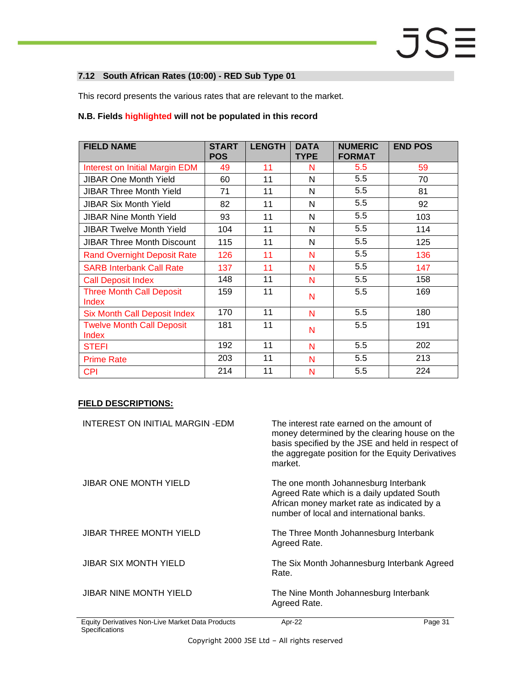#### <span id="page-30-0"></span>**7.12 South African Rates (10:00) - RED Sub Type 01**

This record presents the various rates that are relevant to the market.

#### **N.B. Fields highlighted will not be populated in this record**

| <b>FIELD NAME</b>                         | <b>START</b><br><b>POS</b> | <b>LENGTH</b> | <b>DATA</b><br><b>TYPE</b> | <b>NUMERIC</b><br><b>FORMAT</b> | <b>END POS</b> |
|-------------------------------------------|----------------------------|---------------|----------------------------|---------------------------------|----------------|
| Interest on Initial Margin EDM            | 49                         | 11            | N                          | 5.5                             | 59             |
| <b>JIBAR One Month Yield</b>              | 60                         | 11            | N                          | 5.5                             | 70             |
| <b>JIBAR Three Month Yield</b>            | 71                         | 11            | N                          | 5.5                             | 81             |
| <b>JIBAR Six Month Yield</b>              | 82                         | 11            | N                          | 5.5                             | 92             |
| <b>JIBAR Nine Month Yield</b>             | 93                         | 11            | N                          | 5.5                             | 103            |
| <b>JIBAR Twelve Month Yield</b>           | 104                        | 11            | N                          | 5.5                             | 114            |
| <b>JIBAR Three Month Discount</b>         | 115                        | 11            | N                          | 5.5                             | 125            |
| <b>Rand Overnight Deposit Rate</b>        | 126                        | 11            | N                          | 5.5                             | 136            |
| <b>SARB Interbank Call Rate</b>           | 137                        | 11            | N                          | 5.5                             | 147            |
| <b>Call Deposit Index</b>                 | 148                        | 11            | N                          | 5.5                             | 158            |
| <b>Three Month Call Deposit</b><br>Index  | 159                        | 11            | N                          | 5.5                             | 169            |
| <b>Six Month Call Deposit Index</b>       | 170                        | 11            | N                          | 5.5                             | 180            |
| <b>Twelve Month Call Deposit</b><br>Index | 181                        | 11            | N                          | 5.5                             | 191            |
| <b>STEFI</b>                              | 192                        | 11            | N                          | 5.5                             | 202            |
| <b>Prime Rate</b>                         | 203                        | 11            | N                          | 5.5                             | 213            |
| <b>CPI</b>                                | 214                        | 11            | N                          | 5.5                             | 224            |

| INTEREST ON INITIAL MARGIN-EDM                   | The interest rate earned on the amount of<br>money determined by the clearing house on the<br>basis specified by the JSE and held in respect of<br>the aggregate position for the Equity Derivatives<br>market. |
|--------------------------------------------------|-----------------------------------------------------------------------------------------------------------------------------------------------------------------------------------------------------------------|
| <b>JIBAR ONE MONTH YIELD</b>                     | The one month Johannesburg Interbank<br>Agreed Rate which is a daily updated South<br>African money market rate as indicated by a<br>number of local and international banks.                                   |
| <b>JIBAR THREE MONTH YIELD</b>                   | The Three Month Johannesburg Interbank<br>Agreed Rate.                                                                                                                                                          |
| JIBAR SIX MONTH YIELD                            | The Six Month Johannesburg Interbank Agreed<br>Rate.                                                                                                                                                            |
| <b>JIBAR NINE MONTH YIELD</b>                    | The Nine Month Johannesburg Interbank<br>Agreed Rate.                                                                                                                                                           |
| Equity Derivatives Non-Live Market Data Products | Apr-22<br>Page 31                                                                                                                                                                                               |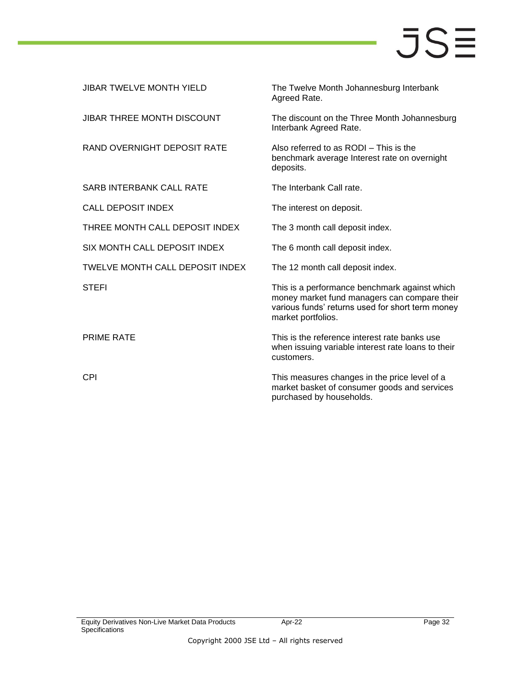| <b>JIBAR TWELVE MONTH YIELD</b> | The Twelve Month Johannesburg Interbank<br>Agreed Rate.                                                                                                                 |
|---------------------------------|-------------------------------------------------------------------------------------------------------------------------------------------------------------------------|
| JIBAR THREE MONTH DISCOUNT      | The discount on the Three Month Johannesburg<br>Interbank Agreed Rate.                                                                                                  |
| RAND OVERNIGHT DEPOSIT RATE     | Also referred to as RODI - This is the<br>benchmark average Interest rate on overnight<br>deposits.                                                                     |
| <b>SARB INTERBANK CALL RATE</b> | The Interbank Call rate.                                                                                                                                                |
| <b>CALL DEPOSIT INDEX</b>       | The interest on deposit.                                                                                                                                                |
| THREE MONTH CALL DEPOSIT INDEX  | The 3 month call deposit index.                                                                                                                                         |
| SIX MONTH CALL DEPOSIT INDEX    | The 6 month call deposit index.                                                                                                                                         |
| TWELVE MONTH CALL DEPOSIT INDEX | The 12 month call deposit index.                                                                                                                                        |
| <b>STEFI</b>                    | This is a performance benchmark against which<br>money market fund managers can compare their<br>various funds' returns used for short term money<br>market portfolios. |
| <b>PRIME RATE</b>               | This is the reference interest rate banks use<br>when issuing variable interest rate loans to their<br>customers.                                                       |
| <b>CPI</b>                      | This measures changes in the price level of a<br>market basket of consumer goods and services<br>purchased by households.                                               |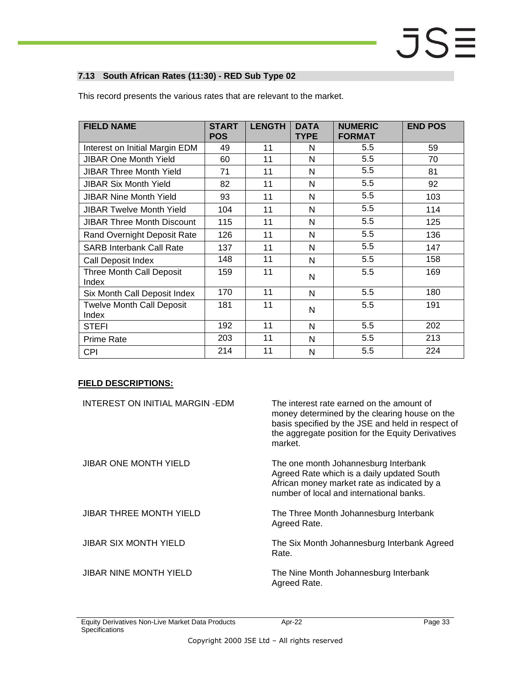#### <span id="page-32-0"></span>**7.13 South African Rates (11:30) - RED Sub Type 02**

| <b>FIELD NAME</b>                         | <b>START</b><br><b>POS</b> | <b>LENGTH</b> | <b>DATA</b><br><b>TYPE</b> | <b>NUMERIC</b><br><b>FORMAT</b> | <b>END POS</b> |
|-------------------------------------------|----------------------------|---------------|----------------------------|---------------------------------|----------------|
| Interest on Initial Margin EDM            | 49                         | 11            | N                          | 5.5                             | 59             |
| <b>JIBAR One Month Yield</b>              | 60                         | 11            | N                          | 5.5                             | 70             |
| <b>JIBAR Three Month Yield</b>            | 71                         | 11            | N                          | 5.5                             | 81             |
| <b>JIBAR Six Month Yield</b>              | 82                         | 11            | N                          | 5.5                             | 92             |
| <b>JIBAR Nine Month Yield</b>             | 93                         | 11            | N                          | 5.5                             | 103            |
| <b>JIBAR Twelve Month Yield</b>           | 104                        | 11            | N                          | 5.5                             | 114            |
| <b>JIBAR Three Month Discount</b>         | 115                        | 11            | N                          | 5.5                             | 125            |
| Rand Overnight Deposit Rate               | 126                        | 11            | N                          | 5.5                             | 136            |
| <b>SARB Interbank Call Rate</b>           | 137                        | 11            | N                          | 5.5                             | 147            |
| Call Deposit Index                        | 148                        | 11            | N                          | 5.5                             | 158            |
| Three Month Call Deposit<br>Index         | 159                        | 11            | N                          | 5.5                             | 169            |
| Six Month Call Deposit Index              | 170                        | 11            | N                          | 5.5                             | 180            |
| <b>Twelve Month Call Deposit</b><br>Index | 181                        | 11            | N                          | 5.5                             | 191            |
| <b>STEFI</b>                              | 192                        | 11            | N                          | 5.5                             | 202            |
| <b>Prime Rate</b>                         | 203                        | 11            | N                          | 5.5                             | 213            |
| <b>CPI</b>                                | 214                        | 11            | N                          | 5.5                             | 224            |

This record presents the various rates that are relevant to the market.

| INTEREST ON INITIAL MARGIN-EDM | The interest rate earned on the amount of<br>money determined by the clearing house on the<br>basis specified by the JSE and held in respect of<br>the aggregate position for the Equity Derivatives<br>market. |
|--------------------------------|-----------------------------------------------------------------------------------------------------------------------------------------------------------------------------------------------------------------|
| JIBAR ONE MONTH YIELD          | The one month Johannesburg Interbank<br>Agreed Rate which is a daily updated South<br>African money market rate as indicated by a<br>number of local and international banks.                                   |
| JIBAR THREE MONTH YIELD        | The Three Month Johannesburg Interbank<br>Agreed Rate.                                                                                                                                                          |
| <b>JIBAR SIX MONTH YIELD</b>   | The Six Month Johannesburg Interbank Agreed<br>Rate.                                                                                                                                                            |
| <b>JIBAR NINE MONTH YIELD</b>  | The Nine Month Johannesburg Interbank<br>Agreed Rate.                                                                                                                                                           |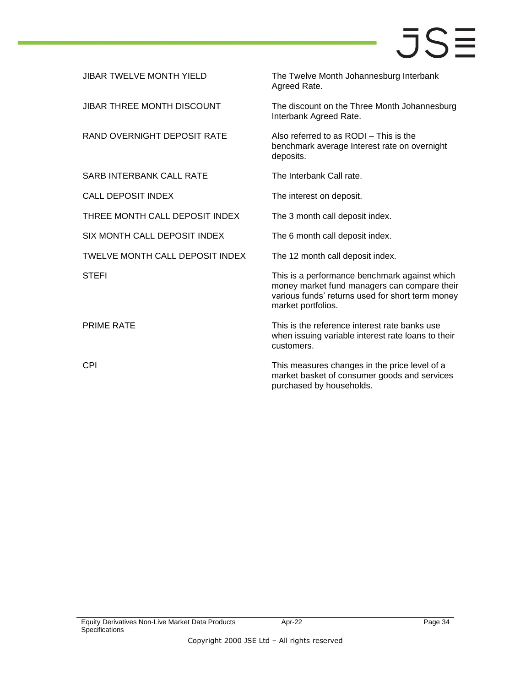| <b>JIBAR TWELVE MONTH YIELD</b>        | The Twelve Month Johannesburg Interbank<br>Agreed Rate.                                                                                                                 |
|----------------------------------------|-------------------------------------------------------------------------------------------------------------------------------------------------------------------------|
| <b>JIBAR THREE MONTH DISCOUNT</b>      | The discount on the Three Month Johannesburg<br>Interbank Agreed Rate.                                                                                                  |
| RAND OVERNIGHT DEPOSIT RATE            | Also referred to as RODI - This is the<br>benchmark average Interest rate on overnight<br>deposits.                                                                     |
| <b>SARB INTERBANK CALL RATE</b>        | The Interbank Call rate.                                                                                                                                                |
| <b>CALL DEPOSIT INDEX</b>              | The interest on deposit.                                                                                                                                                |
| THREE MONTH CALL DEPOSIT INDEX         | The 3 month call deposit index.                                                                                                                                         |
| SIX MONTH CALL DEPOSIT INDEX           | The 6 month call deposit index.                                                                                                                                         |
| <b>TWELVE MONTH CALL DEPOSIT INDEX</b> | The 12 month call deposit index.                                                                                                                                        |
| <b>STEFI</b>                           | This is a performance benchmark against which<br>money market fund managers can compare their<br>various funds' returns used for short term money<br>market portfolios. |
| <b>PRIME RATE</b>                      | This is the reference interest rate banks use<br>when issuing variable interest rate loans to their<br>customers.                                                       |
| <b>CPI</b>                             | This measures changes in the price level of a<br>market basket of consumer goods and services<br>purchased by households.                                               |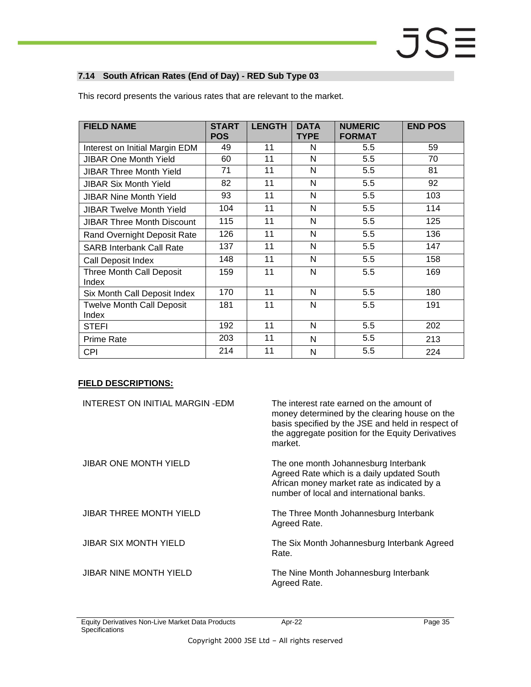#### <span id="page-34-0"></span>**7.14 South African Rates (End of Day) - RED Sub Type 03**

| <b>FIELD NAME</b>                         | <b>START</b><br><b>POS</b> | <b>LENGTH</b> | <b>DATA</b><br><b>TYPE</b> | <b>NUMERIC</b><br><b>FORMAT</b> | <b>END POS</b> |
|-------------------------------------------|----------------------------|---------------|----------------------------|---------------------------------|----------------|
| Interest on Initial Margin EDM            | 49                         | 11            | N                          | 5.5                             | 59             |
| <b>JIBAR One Month Yield</b>              | 60                         | 11            | N                          | 5.5                             | 70             |
| JIBAR Three Month Yield                   | 71                         | 11            | N                          | 5.5                             | 81             |
| <b>JIBAR Six Month Yield</b>              | 82                         | 11            | N                          | 5.5                             | 92             |
| <b>JIBAR Nine Month Yield</b>             | 93                         | 11            | N                          | 5.5                             | 103            |
| <b>JIBAR Twelve Month Yield</b>           | 104                        | 11            | N                          | 5.5                             | 114            |
| <b>JIBAR Three Month Discount</b>         | 115                        | 11            | N                          | 5.5                             | 125            |
| Rand Overnight Deposit Rate               | 126                        | 11            | N                          | 5.5                             | 136            |
| <b>SARB Interbank Call Rate</b>           | 137                        | 11            | N                          | 5.5                             | 147            |
| Call Deposit Index                        | 148                        | 11            | N                          | 5.5                             | 158            |
| Three Month Call Deposit<br>Index         | 159                        | 11            | N                          | 5.5                             | 169            |
| Six Month Call Deposit Index              | 170                        | 11            | N                          | 5.5                             | 180            |
| <b>Twelve Month Call Deposit</b><br>Index | 181                        | 11            | N                          | 5.5                             | 191            |
| <b>STEFI</b>                              | 192                        | 11            | N                          | 5.5                             | 202            |
| <b>Prime Rate</b>                         | 203                        | 11            | N                          | 5.5                             | 213            |
| <b>CPI</b>                                | 214                        | 11            | N                          | 5.5                             | 224            |

This record presents the various rates that are relevant to the market.

| INTEREST ON INITIAL MARGIN-EDM | The interest rate earned on the amount of<br>money determined by the clearing house on the<br>basis specified by the JSE and held in respect of<br>the aggregate position for the Equity Derivatives<br>market. |
|--------------------------------|-----------------------------------------------------------------------------------------------------------------------------------------------------------------------------------------------------------------|
| <b>JIBAR ONE MONTH YIELD</b>   | The one month Johannesburg Interbank<br>Agreed Rate which is a daily updated South<br>African money market rate as indicated by a<br>number of local and international banks.                                   |
| <b>JIBAR THREE MONTH YIELD</b> | The Three Month Johannesburg Interbank<br>Agreed Rate.                                                                                                                                                          |
| <b>JIBAR SIX MONTH YIELD</b>   | The Six Month Johannesburg Interbank Agreed<br>Rate.                                                                                                                                                            |
| <b>JIBAR NINE MONTH YIELD</b>  | The Nine Month Johannesburg Interbank<br>Agreed Rate.                                                                                                                                                           |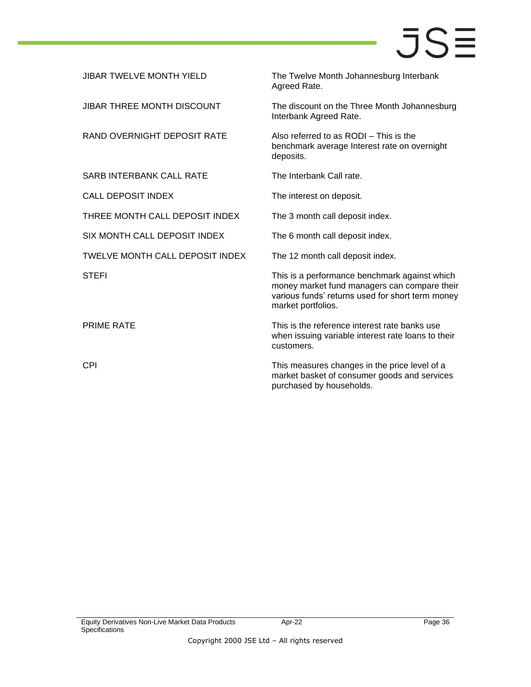| <b>JIBAR TWELVE MONTH YIELD</b>        | The Twelve Month Johannesburg Interbank<br>Agreed Rate.                                                                                                                 |
|----------------------------------------|-------------------------------------------------------------------------------------------------------------------------------------------------------------------------|
| <b>JIBAR THREE MONTH DISCOUNT</b>      | The discount on the Three Month Johannesburg<br>Interbank Agreed Rate.                                                                                                  |
| RAND OVERNIGHT DEPOSIT RATE            | Also referred to as RODI - This is the<br>benchmark average Interest rate on overnight<br>deposits.                                                                     |
| <b>SARB INTERBANK CALL RATE</b>        | The Interbank Call rate.                                                                                                                                                |
| <b>CALL DEPOSIT INDEX</b>              | The interest on deposit.                                                                                                                                                |
| THREE MONTH CALL DEPOSIT INDEX         | The 3 month call deposit index.                                                                                                                                         |
| SIX MONTH CALL DEPOSIT INDEX           | The 6 month call deposit index.                                                                                                                                         |
| <b>TWELVE MONTH CALL DEPOSIT INDEX</b> | The 12 month call deposit index.                                                                                                                                        |
| <b>STEFI</b>                           | This is a performance benchmark against which<br>money market fund managers can compare their<br>various funds' returns used for short term money<br>market portfolios. |
| <b>PRIME RATE</b>                      | This is the reference interest rate banks use<br>when issuing variable interest rate loans to their<br>customers.                                                       |
| <b>CPI</b>                             | This measures changes in the price level of a<br>market basket of consumer goods and services<br>purchased by households.                                               |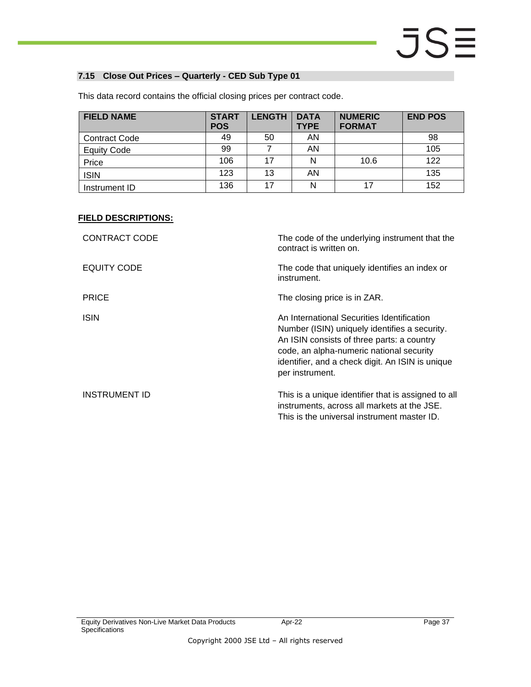#### <span id="page-36-0"></span>**7.15 Close Out Prices – Quarterly - CED Sub Type 01**

| <b>FIELD NAME</b>    | <b>START</b><br><b>POS</b> | <b>LENGTH</b> | <b>DATA</b><br><b>TYPE</b> | <b>NUMERIC</b><br><b>FORMAT</b> | <b>END POS</b> |
|----------------------|----------------------------|---------------|----------------------------|---------------------------------|----------------|
| <b>Contract Code</b> | 49                         | 50            | AN                         |                                 | 98             |
| <b>Equity Code</b>   | 99                         |               | AN                         |                                 | 105            |
| Price                | 106                        | 17            | N                          | 10.6                            | 122            |
| <b>ISIN</b>          | 123                        | 13            | AN                         |                                 | 135            |
| Instrument ID        | 136                        | 17            | N                          |                                 | 152            |

This data record contains the official closing prices per contract code.

| <b>CONTRACT CODE</b> | The code of the underlying instrument that the<br>contract is written on.                                                                                                                                                                                    |
|----------------------|--------------------------------------------------------------------------------------------------------------------------------------------------------------------------------------------------------------------------------------------------------------|
| EQUITY CODE          | The code that uniquely identifies an index or<br>instrument.                                                                                                                                                                                                 |
| <b>PRICE</b>         | The closing price is in ZAR.                                                                                                                                                                                                                                 |
| <b>ISIN</b>          | An International Securities Identification<br>Number (ISIN) uniquely identifies a security.<br>An ISIN consists of three parts: a country<br>code, an alpha-numeric national security<br>identifier, and a check digit. An ISIN is unique<br>per instrument. |
| <b>INSTRUMENT ID</b> | This is a unique identifier that is assigned to all<br>instruments, across all markets at the JSE.<br>This is the universal instrument master ID.                                                                                                            |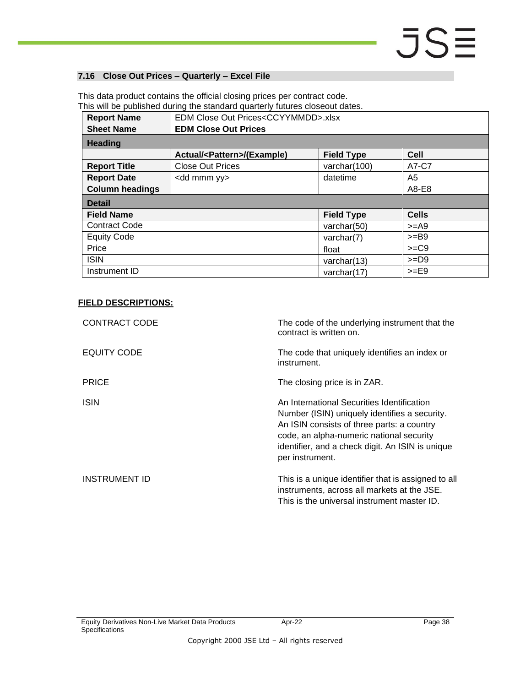#### <span id="page-37-0"></span>**7.16 Close Out Prices – Quarterly – Excel File**

|                        | This will be published during the standard quarterly futures closeout dates. |                                                 |              |  |  |
|------------------------|------------------------------------------------------------------------------|-------------------------------------------------|--------------|--|--|
| <b>Report Name</b>     |                                                                              | EDM Close Out Prices <ccyymmdd>.xlsx</ccyymmdd> |              |  |  |
| <b>Sheet Name</b>      | <b>EDM Close Out Prices</b>                                                  |                                                 |              |  |  |
| <b>Heading</b>         |                                                                              |                                                 |              |  |  |
|                        | Actual/ <pattern>/(Example)</pattern>                                        | <b>Field Type</b>                               | <b>Cell</b>  |  |  |
| <b>Report Title</b>    | <b>Close Out Prices</b>                                                      | varchar(100)                                    | A7-C7        |  |  |
| <b>Report Date</b>     | <dd mmm="" yy=""></dd>                                                       | datetime                                        | A5           |  |  |
| <b>Column headings</b> |                                                                              |                                                 | A8-E8        |  |  |
| <b>Detail</b>          |                                                                              |                                                 |              |  |  |
| <b>Field Name</b>      |                                                                              | <b>Field Type</b>                               | <b>Cells</b> |  |  |
| <b>Contract Code</b>   |                                                                              | varchar(50)                                     | $>=$ A9      |  |  |
| <b>Equity Code</b>     |                                                                              | varchar(7)                                      | $>=$ B9      |  |  |
| Price                  |                                                                              | float                                           | $>=C9$       |  |  |
| <b>ISIN</b>            |                                                                              | varchar(13)                                     | $>=$ D9      |  |  |
| Instrument ID          |                                                                              | varchar(17)                                     | $>=$ E9      |  |  |

This data product contains the official closing prices per contract code.

| <b>CONTRACT CODE</b> | The code of the underlying instrument that the<br>contract is written on.                                                                                                                                                                                    |
|----------------------|--------------------------------------------------------------------------------------------------------------------------------------------------------------------------------------------------------------------------------------------------------------|
| EQUITY CODE          | The code that uniquely identifies an index or<br>instrument.                                                                                                                                                                                                 |
| <b>PRICE</b>         | The closing price is in ZAR.                                                                                                                                                                                                                                 |
| <b>ISIN</b>          | An International Securities Identification<br>Number (ISIN) uniquely identifies a security.<br>An ISIN consists of three parts: a country<br>code, an alpha-numeric national security<br>identifier, and a check digit. An ISIN is unique<br>per instrument. |
| <b>INSTRUMENT ID</b> | This is a unique identifier that is assigned to all<br>instruments, across all markets at the JSE.<br>This is the universal instrument master ID.                                                                                                            |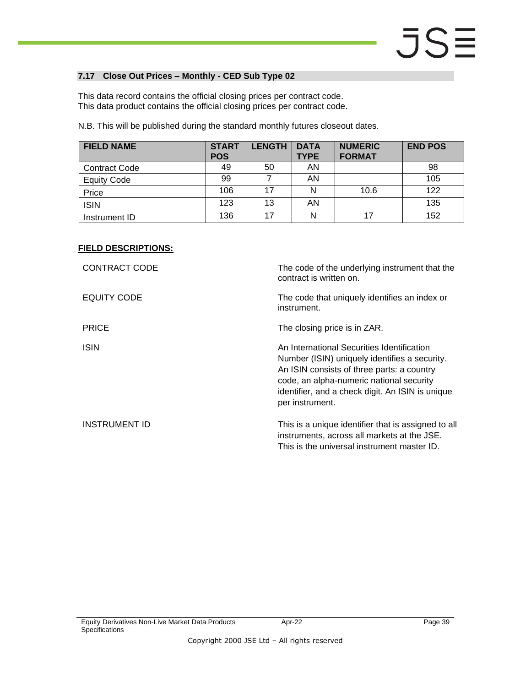#### <span id="page-38-0"></span>**7.17 Close Out Prices – Monthly - CED Sub Type 02**

This data record contains the official closing prices per contract code. This data product contains the official closing prices per contract code.

N.B. This will be published during the standard monthly futures closeout dates.

| <b>FIELD NAME</b>    | <b>START</b><br><b>POS</b> | <b>LENGTH</b> | <b>DATA</b><br><b>TYPE</b> | <b>NUMERIC</b><br><b>FORMAT</b> | <b>END POS</b> |
|----------------------|----------------------------|---------------|----------------------------|---------------------------------|----------------|
| <b>Contract Code</b> | 49                         | 50            | AN                         |                                 | 98             |
| <b>Equity Code</b>   | 99                         |               | AN                         |                                 | 105            |
| Price                | 106                        | 17            | N                          | 10.6                            | 122            |
| <b>ISIN</b>          | 123                        | 13            | AN                         |                                 | 135            |
| Instrument ID        | 136                        | 17            | N                          | 17                              | 152            |

#### **FIELD DESCRIPTIONS:**

| <b>CONTRACT CODE</b> | The code of the underlying instrument that the<br>contract is written on.                                                                                                                                                                                    |
|----------------------|--------------------------------------------------------------------------------------------------------------------------------------------------------------------------------------------------------------------------------------------------------------|
| EQUITY CODE          | The code that uniquely identifies an index or<br>instrument.                                                                                                                                                                                                 |
| <b>PRICE</b>         | The closing price is in ZAR.                                                                                                                                                                                                                                 |
| <b>ISIN</b>          | An International Securities Identification<br>Number (ISIN) uniquely identifies a security.<br>An ISIN consists of three parts: a country<br>code, an alpha-numeric national security<br>identifier, and a check digit. An ISIN is unique<br>per instrument. |
| <b>INSTRUMENT ID</b> | This is a unique identifier that is assigned to all<br>instruments, across all markets at the JSE.<br>This is the universal instrument master ID.                                                                                                            |

Apr-22 Page 39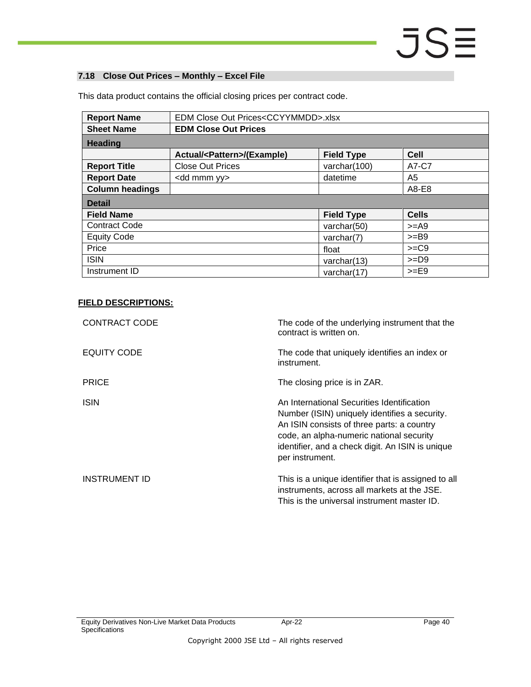#### <span id="page-39-0"></span>**7.18 Close Out Prices – Monthly – Excel File**

| <b>Report Name</b>     | EDM Close Out Prices <ccyymmdd>.xlsx</ccyymmdd> |                   |              |
|------------------------|-------------------------------------------------|-------------------|--------------|
| <b>Sheet Name</b>      | <b>EDM Close Out Prices</b>                     |                   |              |
| <b>Heading</b>         |                                                 |                   |              |
|                        | Actual/ <pattern>/(Example)</pattern>           | <b>Field Type</b> | <b>Cell</b>  |
| <b>Report Title</b>    | <b>Close Out Prices</b>                         | varchar(100)      | A7-C7        |
| <b>Report Date</b>     | <dd mmm="" yy=""></dd>                          | datetime          | A5           |
| <b>Column headings</b> |                                                 |                   | A8-E8        |
| <b>Detail</b>          |                                                 |                   |              |
| <b>Field Name</b>      |                                                 | <b>Field Type</b> | <b>Cells</b> |
| <b>Contract Code</b>   |                                                 | varchar(50)       | $>=$ A9      |
| <b>Equity Code</b>     |                                                 | varchar $(7)$     | $>=$ B9      |
| Price                  |                                                 | float             | $>=C9$       |
| <b>ISIN</b>            |                                                 | varchar $(13)$    | $>=$ D9      |
| Instrument ID          |                                                 | varchar $(17)$    | $>=$ E9      |

This data product contains the official closing prices per contract code.

| CONTRACT CODE        | The code of the underlying instrument that the<br>contract is written on.                                                                                                                                                                                    |
|----------------------|--------------------------------------------------------------------------------------------------------------------------------------------------------------------------------------------------------------------------------------------------------------|
| EQUITY CODE          | The code that uniquely identifies an index or<br>instrument.                                                                                                                                                                                                 |
| <b>PRICE</b>         | The closing price is in ZAR.                                                                                                                                                                                                                                 |
| <b>ISIN</b>          | An International Securities Identification<br>Number (ISIN) uniquely identifies a security.<br>An ISIN consists of three parts: a country<br>code, an alpha-numeric national security<br>identifier, and a check digit. An ISIN is unique<br>per instrument. |
| <b>INSTRUMENT ID</b> | This is a unique identifier that is assigned to all<br>instruments, across all markets at the JSE.<br>This is the universal instrument master ID.                                                                                                            |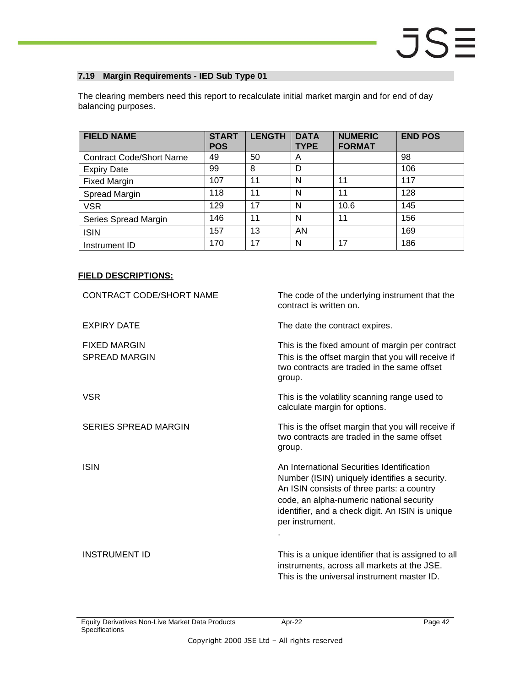#### <span id="page-41-0"></span>**7.19 Margin Requirements - IED Sub Type 01**

The clearing members need this report to recalculate initial market margin and for end of day balancing purposes.

| <b>FIELD NAME</b>               | <b>START</b><br><b>POS</b> | <b>LENGTH</b> | <b>DATA</b><br><b>TYPE</b> | <b>NUMERIC</b><br><b>FORMAT</b> | <b>END POS</b> |
|---------------------------------|----------------------------|---------------|----------------------------|---------------------------------|----------------|
| <b>Contract Code/Short Name</b> | 49                         | 50            | A                          |                                 | 98             |
| <b>Expiry Date</b>              | 99                         | 8             | D                          |                                 | 106            |
| <b>Fixed Margin</b>             | 107                        | 11            | N                          | 11                              | 117            |
| Spread Margin                   | 118                        | 11            | N                          | 11                              | 128            |
| <b>VSR</b>                      | 129                        | 17            | N                          | 10.6                            | 145            |
| Series Spread Margin            | 146                        | 11            | N                          | 11                              | 156            |
| <b>ISIN</b>                     | 157                        | 13            | AN                         |                                 | 169            |
| Instrument ID                   | 170                        | 17            | N                          | 17                              | 186            |

| CONTRACT CODE/SHORT NAME                    | The code of the underlying instrument that the<br>contract is written on.                                                                                                                                                                                    |
|---------------------------------------------|--------------------------------------------------------------------------------------------------------------------------------------------------------------------------------------------------------------------------------------------------------------|
| <b>EXPIRY DATE</b>                          | The date the contract expires.                                                                                                                                                                                                                               |
| <b>FIXED MARGIN</b><br><b>SPREAD MARGIN</b> | This is the fixed amount of margin per contract<br>This is the offset margin that you will receive if<br>two contracts are traded in the same offset<br>group.                                                                                               |
| <b>VSR</b>                                  | This is the volatility scanning range used to<br>calculate margin for options.                                                                                                                                                                               |
| <b>SERIES SPREAD MARGIN</b>                 | This is the offset margin that you will receive if<br>two contracts are traded in the same offset<br>group.                                                                                                                                                  |
| <b>ISIN</b>                                 | An International Securities Identification<br>Number (ISIN) uniquely identifies a security.<br>An ISIN consists of three parts: a country<br>code, an alpha-numeric national security<br>identifier, and a check digit. An ISIN is unique<br>per instrument. |
| <b>INSTRUMENT ID</b>                        | This is a unique identifier that is assigned to all<br>instruments, across all markets at the JSE.<br>This is the universal instrument master ID.                                                                                                            |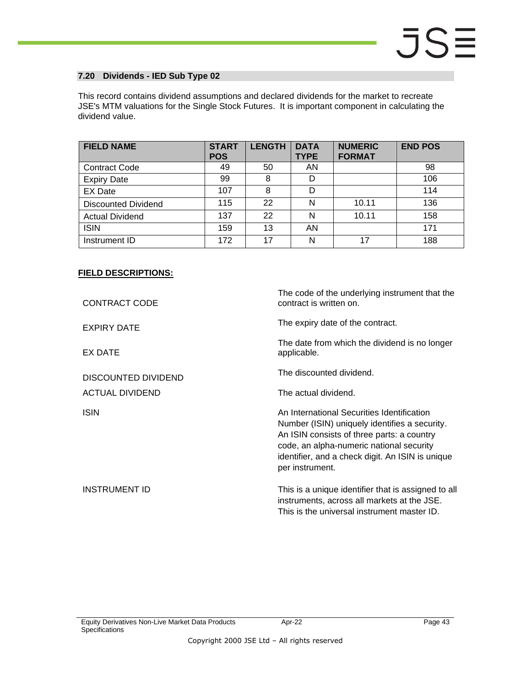#### <span id="page-42-0"></span>**7.20 Dividends - IED Sub Type 02**

This record contains dividend assumptions and declared dividends for the market to recreate JSE's MTM valuations for the Single Stock Futures. It is important component in calculating the dividend value.

| <b>FIELD NAME</b>          | <b>START</b><br><b>POS</b> | <b>LENGTH</b> | <b>DATA</b><br><b>TYPE</b> | <b>NUMERIC</b><br><b>FORMAT</b> | <b>END POS</b> |
|----------------------------|----------------------------|---------------|----------------------------|---------------------------------|----------------|
| <b>Contract Code</b>       | 49                         | 50            | AN                         |                                 | 98             |
| <b>Expiry Date</b>         | 99                         | 8             | D                          |                                 | 106            |
| <b>EX Date</b>             | 107                        | 8             | D                          |                                 | 114            |
| <b>Discounted Dividend</b> | 115                        | 22            | N                          | 10.11                           | 136            |
| <b>Actual Dividend</b>     | 137                        | 22            | N                          | 10.11                           | 158            |
| <b>ISIN</b>                | 159                        | 13            | AN                         |                                 | 171            |
| Instrument ID              | 172                        | 17            | N                          | 17                              | 188            |

| <b>CONTRACT CODE</b>       | The code of the underlying instrument that the<br>contract is written on.                                                                                                                                                                                    |
|----------------------------|--------------------------------------------------------------------------------------------------------------------------------------------------------------------------------------------------------------------------------------------------------------|
| <b>EXPIRY DATE</b>         | The expiry date of the contract.                                                                                                                                                                                                                             |
| EX DATE                    | The date from which the dividend is no longer<br>applicable.                                                                                                                                                                                                 |
| <b>DISCOUNTED DIVIDEND</b> | The discounted dividend.                                                                                                                                                                                                                                     |
| ACTUAL DIVIDEND            | The actual dividend.                                                                                                                                                                                                                                         |
| <b>ISIN</b>                | An International Securities Identification<br>Number (ISIN) uniquely identifies a security.<br>An ISIN consists of three parts: a country<br>code, an alpha-numeric national security<br>identifier, and a check digit. An ISIN is unique<br>per instrument. |
| <b>INSTRUMENT ID</b>       | This is a unique identifier that is assigned to all<br>instruments, across all markets at the JSE.<br>This is the universal instrument master ID.                                                                                                            |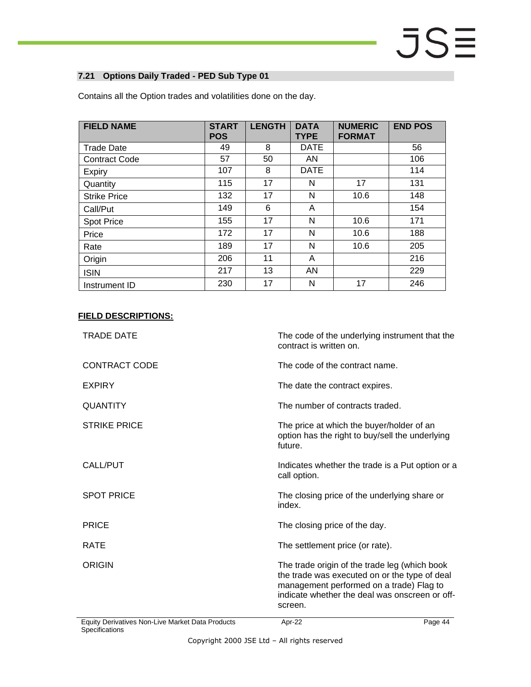#### <span id="page-43-0"></span>**7.21 Options Daily Traded - PED Sub Type 01**

| <b>FIELD NAME</b>    | <b>START</b><br><b>POS</b> | <b>LENGTH</b> | <b>DATA</b><br><b>TYPE</b> | <b>NUMERIC</b><br><b>FORMAT</b> | <b>END POS</b> |
|----------------------|----------------------------|---------------|----------------------------|---------------------------------|----------------|
| <b>Trade Date</b>    | 49                         | 8             | <b>DATE</b>                |                                 | 56             |
| <b>Contract Code</b> | 57                         | 50            | AN                         |                                 | 106            |
| Expiry               | 107                        | 8             | <b>DATE</b>                |                                 | 114            |
| Quantity             | 115                        | 17            | N                          | 17                              | 131            |
| <b>Strike Price</b>  | 132                        | 17            | N                          | 10.6                            | 148            |
| Call/Put             | 149                        | 6             | A                          |                                 | 154            |
| <b>Spot Price</b>    | 155                        | 17            | N                          | 10.6                            | 171            |
| Price                | 172                        | 17            | N                          | 10.6                            | 188            |
| Rate                 | 189                        | 17            | N                          | 10.6                            | 205            |
| Origin               | 206                        | 11            | A                          |                                 | 216            |
| <b>ISIN</b>          | 217                        | 13            | <b>AN</b>                  |                                 | 229            |
| Instrument ID        | 230                        | 17            | N                          | 17                              | 246            |

Contains all the Option trades and volatilities done on the day.

| Equity Derivatives Non-Live Market Data Products | Page 44<br>Apr-22                                                                                                                                                                                       |
|--------------------------------------------------|---------------------------------------------------------------------------------------------------------------------------------------------------------------------------------------------------------|
| <b>ORIGIN</b>                                    | The trade origin of the trade leg (which book<br>the trade was executed on or the type of deal<br>management performed on a trade) Flag to<br>indicate whether the deal was onscreen or off-<br>screen. |
| <b>RATE</b>                                      | The settlement price (or rate).                                                                                                                                                                         |
| <b>PRICE</b>                                     | The closing price of the day.                                                                                                                                                                           |
| <b>SPOT PRICE</b>                                | The closing price of the underlying share or<br>index.                                                                                                                                                  |
| CALL/PUT                                         | Indicates whether the trade is a Put option or a<br>call option.                                                                                                                                        |
| <b>STRIKE PRICE</b>                              | The price at which the buyer/holder of an<br>option has the right to buy/sell the underlying<br>future.                                                                                                 |
| <b>QUANTITY</b>                                  | The number of contracts traded.                                                                                                                                                                         |
| <b>EXPIRY</b>                                    | The date the contract expires.                                                                                                                                                                          |
| <b>CONTRACT CODE</b>                             | The code of the contract name.                                                                                                                                                                          |
| <b>TRADE DATE</b>                                | The code of the underlying instrument that the<br>contract is written on.                                                                                                                               |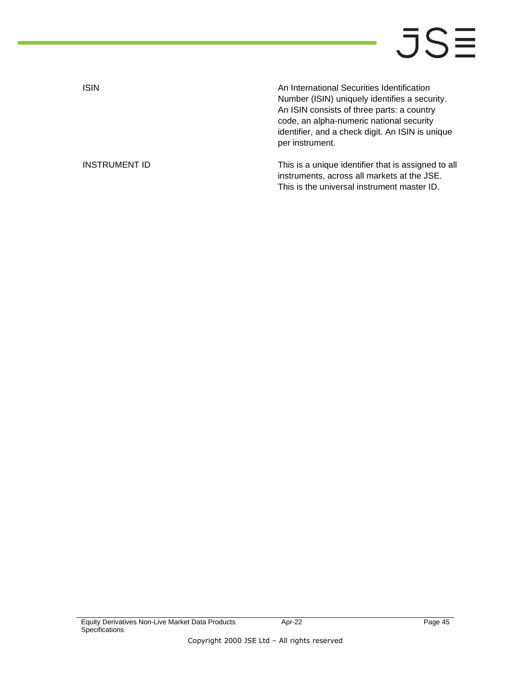ISIN An International Securities Identification Number (ISIN) uniquely identifies a security. An ISIN consists of three parts: a country code, an alpha-numeric national security identifier, and a check digit. An ISIN is unique per instrument.

INSTRUMENT ID **INSTRUMENT ID** This is a unique identifier that is assigned to all instruments, across all markets at the JSE. This is the universal instrument master ID.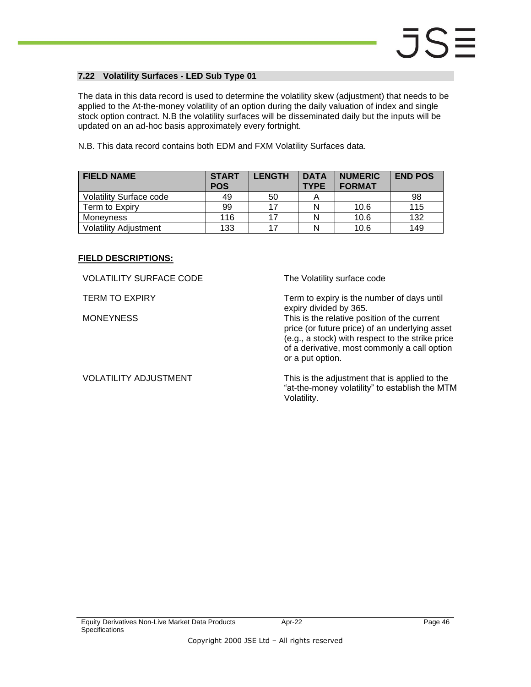#### <span id="page-45-0"></span>**7.22 Volatility Surfaces - LED Sub Type 01**

The data in this data record is used to determine the volatility skew (adjustment) that needs to be applied to the At-the-money volatility of an option during the daily valuation of index and single stock option contract. N.B the volatility surfaces will be disseminated daily but the inputs will be updated on an ad-hoc basis approximately every fortnight.

N.B. This data record contains both EDM and FXM Volatility Surfaces data.

| <b>FIELD NAME</b>              | <b>START</b><br><b>POS</b> | <b>LENGTH</b> | <b>DATA</b><br><b>TYPE</b> | <b>NUMERIC</b><br><b>FORMAT</b> | <b>END POS</b> |
|--------------------------------|----------------------------|---------------|----------------------------|---------------------------------|----------------|
| <b>Volatility Surface code</b> | 49                         | 50            |                            |                                 | 98             |
| Term to Expiry                 | 99                         | 17            |                            | 10.6                            | 115            |
| Moneyness                      | 116                        | 17            |                            | 10.6                            | 132            |
| <b>Volatility Adjustment</b>   | 133                        | 17            |                            | 10.6                            | 149            |

#### **FIELD DESCRIPTIONS:**

VOLATILITY SURFACE CODE The Volatility surface code

TERM TO EXPIRY TERM TO EXPIRY Term to expiry is the number of days until expiry divided by 365.

MONEYNESS This is the relative position of the current price (or future price) of an underlying asset (e.g., a stock) with respect to the strike price of a derivative, most commonly a call option or a put option.

VOLATILITY ADJUSTMENT This is the adjustment that is applied to the "at-the-money volatility" to establish the MTM Volatility.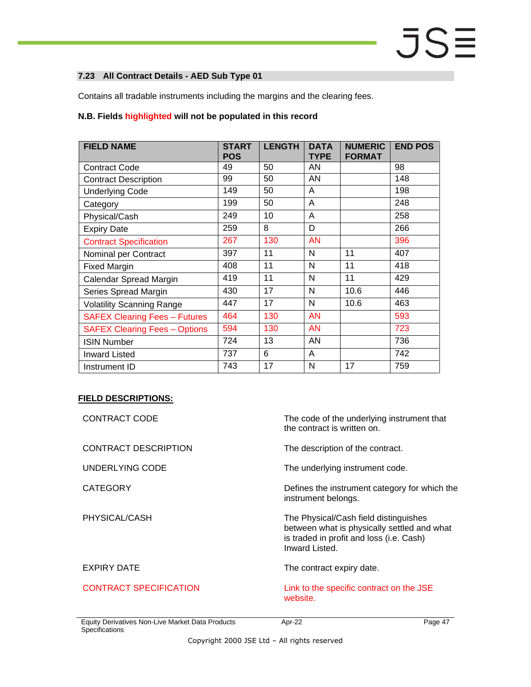#### <span id="page-46-0"></span>**7.23 All Contract Details - AED Sub Type 01**

Contains all tradable instruments including the margins and the clearing fees.

#### **N.B. Fields highlighted will not be populated in this record**

| <b>FIELD NAME</b>                    | <b>START</b><br><b>POS</b> | <b>LENGTH</b> | <b>DATA</b><br><b>TYPE</b> | <b>NUMERIC</b><br><b>FORMAT</b> | <b>END POS</b> |
|--------------------------------------|----------------------------|---------------|----------------------------|---------------------------------|----------------|
| <b>Contract Code</b>                 | 49                         | 50            | AN                         |                                 | 98             |
| <b>Contract Description</b>          | 99                         | 50            | AN                         |                                 | 148            |
| <b>Underlying Code</b>               | 149                        | 50            | A                          |                                 | 198            |
| Category                             | 199                        | 50            | A                          |                                 | 248            |
| Physical/Cash                        | 249                        | 10            | A                          |                                 | 258            |
| <b>Expiry Date</b>                   | 259                        | 8             | D                          |                                 | 266            |
| <b>Contract Specification</b>        | 267                        | 130           | <b>AN</b>                  |                                 | 396            |
| Nominal per Contract                 | 397                        | 11            | N                          | 11                              | 407            |
| <b>Fixed Margin</b>                  | 408                        | 11            | N                          | 11                              | 418            |
| Calendar Spread Margin               | 419                        | 11            | N                          | 11                              | 429            |
| Series Spread Margin                 | 430                        | 17            | N                          | 10.6                            | 446            |
| <b>Volatility Scanning Range</b>     | 447                        | 17            | N                          | 10.6                            | 463            |
| <b>SAFEX Clearing Fees - Futures</b> | 464                        | 130           | <b>AN</b>                  |                                 | 593            |
| <b>SAFEX Clearing Fees - Options</b> | 594                        | 130           | <b>AN</b>                  |                                 | 723            |
| <b>ISIN Number</b>                   | 724                        | 13            | AN                         |                                 | 736            |
| <b>Inward Listed</b>                 | 737                        | 6             | A                          |                                 | 742            |
| Instrument ID                        | 743                        | 17            | N                          | 17                              | 759            |

| CONTRACT CODE                 | The code of the underlying instrument that<br>the contract is written on.                                                                          |
|-------------------------------|----------------------------------------------------------------------------------------------------------------------------------------------------|
| CONTRACT DESCRIPTION          | The description of the contract.                                                                                                                   |
| UNDERLYING CODE               | The underlying instrument code.                                                                                                                    |
| <b>CATEGORY</b>               | Defines the instrument category for which the<br>instrument belongs.                                                                               |
| PHYSICAL/CASH                 | The Physical/Cash field distinguishes<br>between what is physically settled and what<br>is traded in profit and loss (i.e. Cash)<br>Inward Listed. |
| <b>EXPIRY DATE</b>            | The contract expiry date.                                                                                                                          |
| <b>CONTRACT SPECIFICATION</b> | Link to the specific contract on the JSE<br>website.                                                                                               |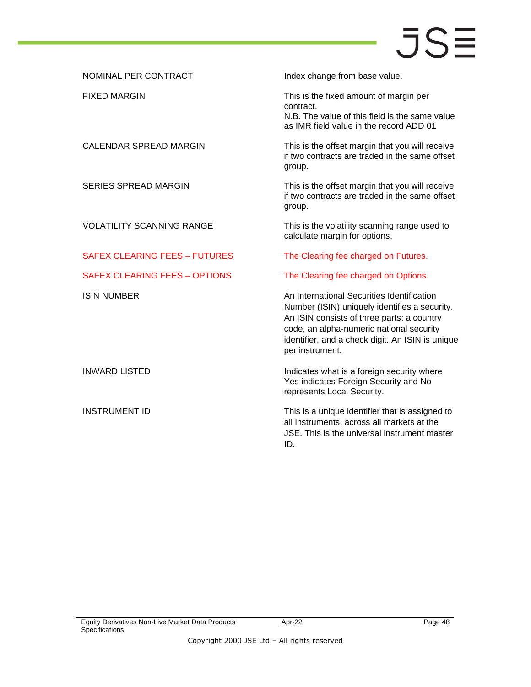| Index change from base value.                                                                                                                                                                                                                                |
|--------------------------------------------------------------------------------------------------------------------------------------------------------------------------------------------------------------------------------------------------------------|
| This is the fixed amount of margin per<br>contract.<br>N.B. The value of this field is the same value<br>as IMR field value in the record ADD 01                                                                                                             |
| This is the offset margin that you will receive<br>if two contracts are traded in the same offset<br>group.                                                                                                                                                  |
| This is the offset margin that you will receive<br>if two contracts are traded in the same offset<br>group.                                                                                                                                                  |
| This is the volatility scanning range used to<br>calculate margin for options.                                                                                                                                                                               |
| The Clearing fee charged on Futures.                                                                                                                                                                                                                         |
| The Clearing fee charged on Options.                                                                                                                                                                                                                         |
| An International Securities Identification<br>Number (ISIN) uniquely identifies a security.<br>An ISIN consists of three parts: a country<br>code, an alpha-numeric national security<br>identifier, and a check digit. An ISIN is unique<br>per instrument. |
| Indicates what is a foreign security where<br>Yes indicates Foreign Security and No<br>represents Local Security.                                                                                                                                            |
| This is a unique identifier that is assigned to<br>all instruments, across all markets at the<br>JSE. This is the universal instrument master<br>ID.                                                                                                         |
|                                                                                                                                                                                                                                                              |

Apr-22 Page 48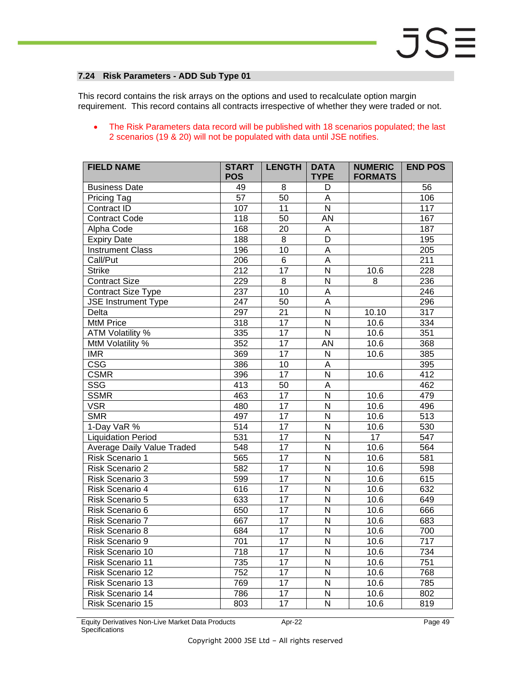#### <span id="page-48-0"></span>**7.24 Risk Parameters - ADD Sub Type 01**

This record contains the risk arrays on the options and used to recalculate option margin requirement. This record contains all contracts irrespective of whether they were traded or not.

#### • The Risk Parameters data record will be published with 18 scenarios populated; the last 2 scenarios (19 & 20) will not be populated with data until JSE notifies.

| <b>FIELD NAME</b>                 | <b>START</b><br><b>POS</b> | <b>LENGTH</b>   | <b>DATA</b><br><b>TYPE</b> | <b>NUMERIC</b><br><b>FORMATS</b> | <b>END POS</b>   |
|-----------------------------------|----------------------------|-----------------|----------------------------|----------------------------------|------------------|
| <b>Business Date</b>              | 49                         | 8               | D                          |                                  | 56               |
| Pricing Tag                       | 57                         | 50              | $\mathsf A$                |                                  | 106              |
| Contract ID                       | 107                        | 11              | $\overline{\mathsf{N}}$    |                                  | 117              |
| Contract Code                     | 118                        | $\overline{50}$ | <b>AN</b>                  |                                  | 167              |
| Alpha Code                        | 168                        | 20              | A                          |                                  | 187              |
| <b>Expiry Date</b>                | 188                        | $\bf 8$         | D                          |                                  | 195              |
| <b>Instrument Class</b>           | 196                        | 10              | $\overline{\mathsf{A}}$    |                                  | $\overline{205}$ |
| Call/Put                          | 206                        | $\overline{6}$  | $\overline{\mathsf{A}}$    |                                  | 211              |
| <b>Strike</b>                     | 212                        | $\overline{17}$ | $\overline{\mathsf{N}}$    | 10.6                             | 228              |
| <b>Contract Size</b>              | 229                        | 8               | N                          | 8                                | 236              |
| <b>Contract Size Type</b>         | 237                        | 10              | $\overline{A}$             |                                  | 246              |
| <b>JSE</b> Instrument Type        | $\overline{247}$           | 50              | $\overline{A}$             |                                  | 296              |
| Delta                             | 297                        | $\overline{21}$ | $\overline{\mathsf{N}}$    | 10.10                            | $\overline{317}$ |
| <b>MtM Price</b>                  | 318                        | $\overline{17}$ | $\overline{N}$             | 10.6                             | 334              |
| <b>ATM Volatility %</b>           | 335                        | $\overline{17}$ | $\overline{\mathsf{N}}$    | 10.6                             | 351              |
| MtM Volatility %                  | 352                        | $\overline{17}$ | <b>AN</b>                  | 10.6                             | 368              |
| <b>IMR</b>                        | 369                        | 17              | N                          | 10.6                             | 385              |
| $\overline{\csc}$                 | 386                        | $\overline{10}$ | $\overline{A}$             |                                  | 395              |
| <b>CSMR</b>                       | 396                        | $\overline{17}$ | $\overline{\mathsf{N}}$    | 10.6                             | 412              |
| SSG                               | 413                        | $\overline{50}$ | $\mathsf A$                |                                  | 462              |
| <b>SSMR</b>                       | 463                        | $\overline{17}$ | $\overline{N}$             | 10.6                             | 479              |
| <b>VSR</b>                        | 480                        | $\overline{17}$ | $\overline{\mathsf{N}}$    | 10.6                             | 496              |
| <b>SMR</b>                        | 497                        | $\overline{17}$ | $\overline{N}$             | 10.6                             | $\overline{513}$ |
| 1-Day VaR %                       | 514                        | 17              | N                          | 10.6                             | 530              |
| <b>Liquidation Period</b>         | $\overline{531}$           | 17              | N                          | $\overline{17}$                  | 547              |
| <b>Average Daily Value Traded</b> | 548                        | $\overline{17}$ | $\overline{\mathsf{N}}$    | 10.6                             | 564              |
| Risk Scenario 1                   | 565                        | $\overline{17}$ | $\overline{\mathsf{N}}$    | 10.6                             | 581              |
| Risk Scenario 2                   | 582                        | $\overline{17}$ | N                          | 10.6                             | 598              |
| Risk Scenario 3                   | 599                        | $\overline{17}$ | $\overline{\mathsf{N}}$    | 10.6                             | 615              |
| Risk Scenario 4                   | 616                        | $\overline{17}$ | $\overline{\mathsf{N}}$    | 10.6                             | 632              |
| Risk Scenario 5                   | 633                        | $\overline{17}$ | N                          | 10.6                             | 649              |
| Risk Scenario 6                   | 650                        | 17              | N                          | $10.\overline{6}$                | 666              |
| Risk Scenario 7                   | 667                        | $\overline{17}$ | $\overline{\mathsf{N}}$    | 10.6                             | 683              |
| Risk Scenario 8                   | 684                        | 17              | N                          | 10.6                             | 700              |
| Risk Scenario 9                   | 701                        | 17              | N                          | 10.6                             | 717              |
| Risk Scenario 10                  | 718                        | 17              | N                          | 10.6                             | 734              |
| Risk Scenario 11                  | 735                        | $\overline{17}$ | $\overline{\mathsf{N}}$    | $10.\overline{6}$                | 751              |
| Risk Scenario 12                  | 752                        | $\overline{17}$ | $\overline{\mathsf{N}}$    | 10.6                             | 768              |
| Risk Scenario 13                  | 769                        | 17              | $\mathsf{N}$               | 10.6                             | 785              |
| Risk Scenario 14                  | 786                        | $\overline{17}$ | $\overline{\mathsf{N}}$    | 10.6                             | 802              |
| Risk Scenario 15                  | 803                        | $\overline{17}$ | N                          | 10.6                             | 819              |

Equity Derivatives Non-Live Market Data Products **Specifications** 

Apr-22 Page 49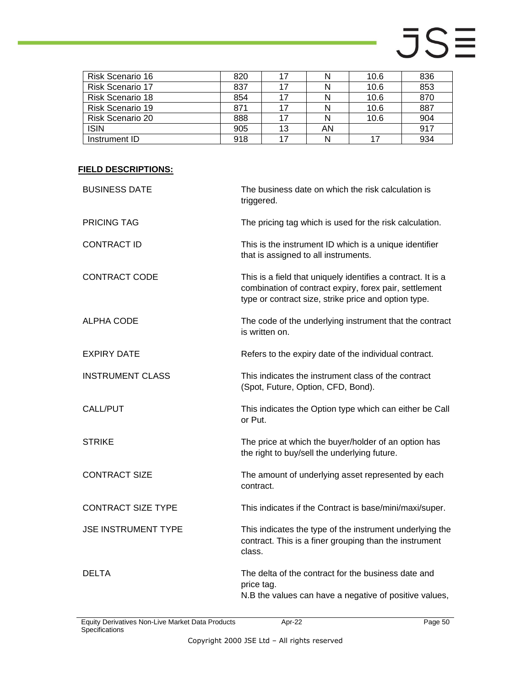| Risk Scenario 16        | 820 |    |    | 10.6 | 836 |
|-------------------------|-----|----|----|------|-----|
| <b>Risk Scenario 17</b> | 837 |    |    | 10.6 | 853 |
| Risk Scenario 18        | 854 |    |    | 10.6 | 870 |
| <b>Risk Scenario 19</b> | 871 | 17 |    | 10.6 | 887 |
| <b>Risk Scenario 20</b> | 888 |    |    | 10.6 | 904 |
| <b>ISIN</b>             | 905 | 13 | AN |      | 917 |
| Instrument ID           | 918 |    |    |      | 934 |

| The business date on which the risk calculation is<br>triggered.                                                                                                               |
|--------------------------------------------------------------------------------------------------------------------------------------------------------------------------------|
| The pricing tag which is used for the risk calculation.                                                                                                                        |
| This is the instrument ID which is a unique identifier<br>that is assigned to all instruments.                                                                                 |
| This is a field that uniquely identifies a contract. It is a<br>combination of contract expiry, forex pair, settlement<br>type or contract size, strike price and option type. |
| The code of the underlying instrument that the contract<br>is written on.                                                                                                      |
| Refers to the expiry date of the individual contract.                                                                                                                          |
| This indicates the instrument class of the contract<br>(Spot, Future, Option, CFD, Bond).                                                                                      |
| This indicates the Option type which can either be Call<br>or Put.                                                                                                             |
| The price at which the buyer/holder of an option has<br>the right to buy/sell the underlying future.                                                                           |
| The amount of underlying asset represented by each<br>contract.                                                                                                                |
| This indicates if the Contract is base/mini/maxi/super.                                                                                                                        |
| This indicates the type of the instrument underlying the<br>contract. This is a finer grouping than the instrument<br>class.                                                   |
| The delta of the contract for the business date and<br>price tag.<br>N.B the values can have a negative of positive values,                                                    |
|                                                                                                                                                                                |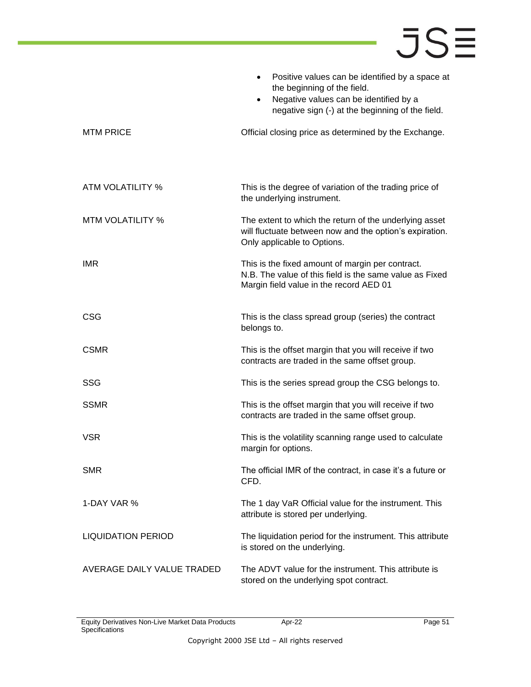|                            | Positive values can be identified by a space at<br>$\bullet$<br>the beginning of the field.<br>Negative values can be identified by a<br>$\bullet$<br>negative sign (-) at the beginning of the field. |
|----------------------------|--------------------------------------------------------------------------------------------------------------------------------------------------------------------------------------------------------|
| <b>MTM PRICE</b>           | Official closing price as determined by the Exchange.                                                                                                                                                  |
| ATM VOLATILITY %           | This is the degree of variation of the trading price of<br>the underlying instrument.                                                                                                                  |
| <b>MTM VOLATILITY %</b>    | The extent to which the return of the underlying asset<br>will fluctuate between now and the option's expiration.<br>Only applicable to Options.                                                       |
| <b>IMR</b>                 | This is the fixed amount of margin per contract.<br>N.B. The value of this field is the same value as Fixed<br>Margin field value in the record AED 01                                                 |
| <b>CSG</b>                 | This is the class spread group (series) the contract<br>belongs to.                                                                                                                                    |
| <b>CSMR</b>                | This is the offset margin that you will receive if two<br>contracts are traded in the same offset group.                                                                                               |
| <b>SSG</b>                 | This is the series spread group the CSG belongs to.                                                                                                                                                    |
| <b>SSMR</b>                | This is the offset margin that you will receive if two<br>contracts are traded in the same offset group.                                                                                               |
| <b>VSR</b>                 | This is the volatility scanning range used to calculate<br>margin for options.                                                                                                                         |
| <b>SMR</b>                 | The official IMR of the contract, in case it's a future or<br>CFD.                                                                                                                                     |
| 1-DAY VAR %                | The 1 day VaR Official value for the instrument. This<br>attribute is stored per underlying.                                                                                                           |
| <b>LIQUIDATION PERIOD</b>  | The liquidation period for the instrument. This attribute<br>is stored on the underlying.                                                                                                              |
| AVERAGE DAILY VALUE TRADED | The ADVT value for the instrument. This attribute is<br>stored on the underlying spot contract.                                                                                                        |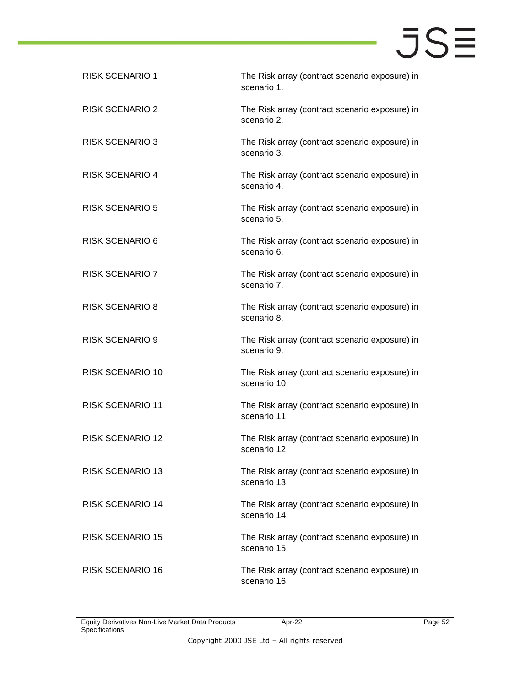| <b>RISK SCENARIO 1</b>  | The Risk array (contract scenario exposure) in<br>scenario 1.  |
|-------------------------|----------------------------------------------------------------|
| <b>RISK SCENARIO 2</b>  | The Risk array (contract scenario exposure) in<br>scenario 2.  |
| <b>RISK SCENARIO 3</b>  | The Risk array (contract scenario exposure) in<br>scenario 3.  |
| <b>RISK SCENARIO 4</b>  | The Risk array (contract scenario exposure) in<br>scenario 4.  |
| <b>RISK SCENARIO 5</b>  | The Risk array (contract scenario exposure) in<br>scenario 5.  |
| <b>RISK SCENARIO 6</b>  | The Risk array (contract scenario exposure) in<br>scenario 6.  |
| <b>RISK SCENARIO 7</b>  | The Risk array (contract scenario exposure) in<br>scenario 7.  |
| <b>RISK SCENARIO 8</b>  | The Risk array (contract scenario exposure) in<br>scenario 8.  |
| <b>RISK SCENARIO 9</b>  | The Risk array (contract scenario exposure) in<br>scenario 9.  |
| <b>RISK SCENARIO 10</b> | The Risk array (contract scenario exposure) in<br>scenario 10. |
| <b>RISK SCENARIO 11</b> | The Risk array (contract scenario exposure) in<br>scenario 11. |
| <b>RISK SCENARIO 12</b> | The Risk array (contract scenario exposure) in<br>scenario 12. |
| <b>RISK SCENARIO 13</b> | The Risk array (contract scenario exposure) in<br>scenario 13. |
| <b>RISK SCENARIO 14</b> | The Risk array (contract scenario exposure) in<br>scenario 14. |
| <b>RISK SCENARIO 15</b> | The Risk array (contract scenario exposure) in<br>scenario 15. |
| <b>RISK SCENARIO 16</b> | The Risk array (contract scenario exposure) in<br>scenario 16. |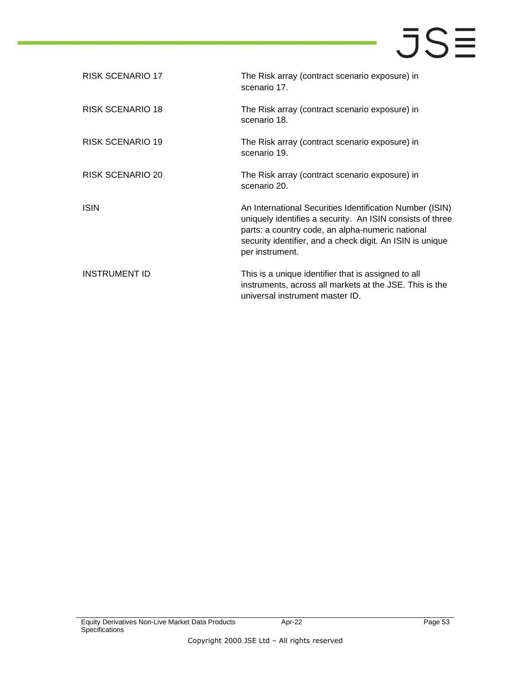| RISK SCENARIO 17     | The Risk array (contract scenario exposure) in<br>scenario 17.                                                                                                                                                                                            |
|----------------------|-----------------------------------------------------------------------------------------------------------------------------------------------------------------------------------------------------------------------------------------------------------|
| RISK SCENARIO 18     | The Risk array (contract scenario exposure) in<br>scenario 18.                                                                                                                                                                                            |
| RISK SCENARIO 19     | The Risk array (contract scenario exposure) in<br>scenario 19.                                                                                                                                                                                            |
| RISK SCENARIO 20     | The Risk array (contract scenario exposure) in<br>scenario 20.                                                                                                                                                                                            |
| ISIN                 | An International Securities Identification Number (ISIN)<br>uniquely identifies a security. An ISIN consists of three<br>parts: a country code, an alpha-numeric national<br>security identifier, and a check digit. An ISIN is unique<br>per instrument. |
| <b>INSTRUMENT ID</b> | This is a unique identifier that is assigned to all<br>instruments, across all markets at the JSE. This is the<br>universal instrument master ID.                                                                                                         |